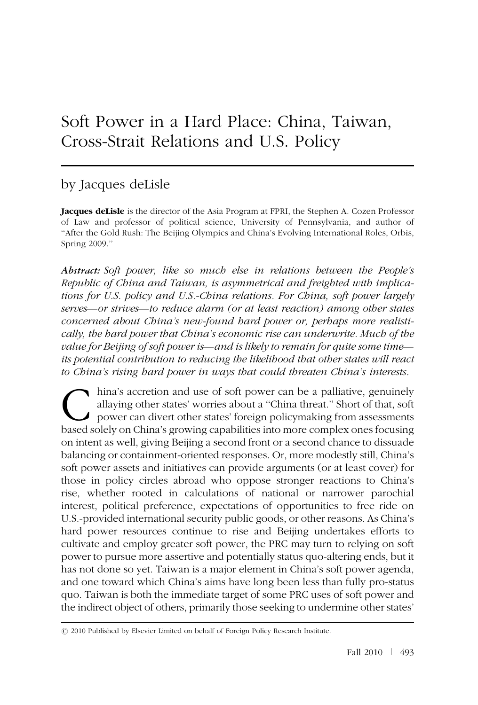# Soft Power in a Hard Place: China, Taiwan, Cross-Strait Relations and U.S. Policy

## by Jacques deLisle

**Jacques deLisle** is the director of the Asia Program at FPRI, the Stephen A. Cozen Professor of Law and professor of political science, University of Pennsylvania, and author of ''After the Gold Rush: The Beijing Olympics and China's Evolving International Roles, Orbis, Spring 2009.''

Abstract: Soft power, like so much else in relations between the People's Republic of China and Taiwan, is asymmetrical and freighted with implications for U.S. policy and U.S.-China relations. For China, soft power largely serves—or strives—to reduce alarm (or at least reaction) among other states concerned about China's new-found hard power or, perhaps more realistically, the hard power that China's economic rise can underwrite. Much of the value for Beijing of soft power is—and is likely to remain for quite some time its potential contribution to reducing the likelihood that other states will react to China's rising hard power in ways that could threaten China's interests.

hina's accretion and use of soft power can be a palliative, genuinely allaying other states' worries about a ''China threat.'' Short of that, soft power can divert other states' foreign policymaking from assessments based solely on China's growing capabilities into more complex ones focusing on intent as well, giving Beijing a second front or a second chance to dissuade balancing or containment-oriented responses. Or, more modestly still, China's soft power assets and initiatives can provide arguments (or at least cover) for those in policy circles abroad who oppose stronger reactions to China's rise, whether rooted in calculations of national or narrower parochial interest, political preference, expectations of opportunities to free ride on U.S.-provided international security public goods, or other reasons. As China's hard power resources continue to rise and Beijing undertakes efforts to cultivate and employ greater soft power, the PRC may turn to relying on soft power to pursue more assertive and potentially status quo-altering ends, but it has not done so yet. Taiwan is a major element in China's soft power agenda, and one toward which China's aims have long been less than fully pro-status quo. Taiwan is both the immediate target of some PRC uses of soft power and the indirect object of others, primarily those seeking to undermine other states'

 $\circled{c}$  2010 Published by Elsevier Limited on behalf of Foreign Policy Research Institute.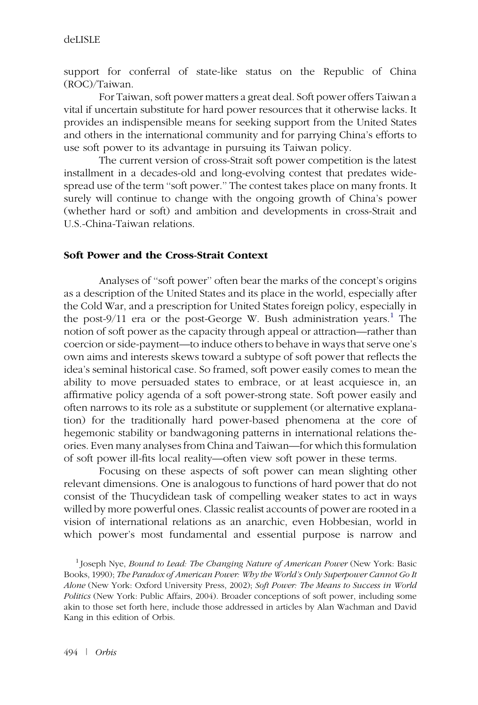support for conferral of state-like status on the Republic of China (ROC)/Taiwan.

For Taiwan, soft power matters a great deal. Soft power offers Taiwan a vital if uncertain substitute for hard power resources that it otherwise lacks. It provides an indispensible means for seeking support from the United States and others in the international community and for parrying China's efforts to use soft power to its advantage in pursuing its Taiwan policy.

The current version of cross-Strait soft power competition is the latest installment in a decades-old and long-evolving contest that predates widespread use of the term ''soft power.'' The contest takes place on many fronts. It surely will continue to change with the ongoing growth of China's power (whether hard or soft) and ambition and developments in cross-Strait and U.S.-China-Taiwan relations.

#### Soft Power and the Cross-Strait Context

Analyses of ''soft power'' often bear the marks of the concept's origins as a description of the United States and its place in the world, especially after the Cold War, and a prescription for United States foreign policy, especially in the post-9/11 era or the post-George W. Bush administration years.<sup>1</sup> The notion of soft power as the capacity through appeal or attraction—rather than coercion or side-payment—to induce others to behave in ways that serve one's own aims and interests skews toward a subtype of soft power that reflects the idea's seminal historical case. So framed, soft power easily comes to mean the ability to move persuaded states to embrace, or at least acquiesce in, an affirmative policy agenda of a soft power-strong state. Soft power easily and often narrows to its role as a substitute or supplement (or alternative explanation) for the traditionally hard power-based phenomena at the core of hegemonic stability or bandwagoning patterns in international relations theories. Even many analyses from China and Taiwan—for which this formulation of soft power ill-fits local reality—often view soft power in these terms.

Focusing on these aspects of soft power can mean slighting other relevant dimensions. One is analogous to functions of hard power that do not consist of the Thucydidean task of compelling weaker states to act in ways willed by more powerful ones. Classic realist accounts of power are rooted in a vision of international relations as an anarchic, even Hobbesian, world in which power's most fundamental and essential purpose is narrow and

<sup>1</sup> Joseph Nye, *Bound to Lead: The Changing Nature of American Power* (New York: Basic Books, 1990); The Paradox of American Power: Why the World's Only Superpower Cannot Go It Alone (New York: Oxford University Press, 2002); Soft Power: The Means to Success in World Politics (New York: Public Affairs, 2004). Broader conceptions of soft power, including some akin to those set forth here, include those addressed in articles by Alan Wachman and David Kang in this edition of Orbis.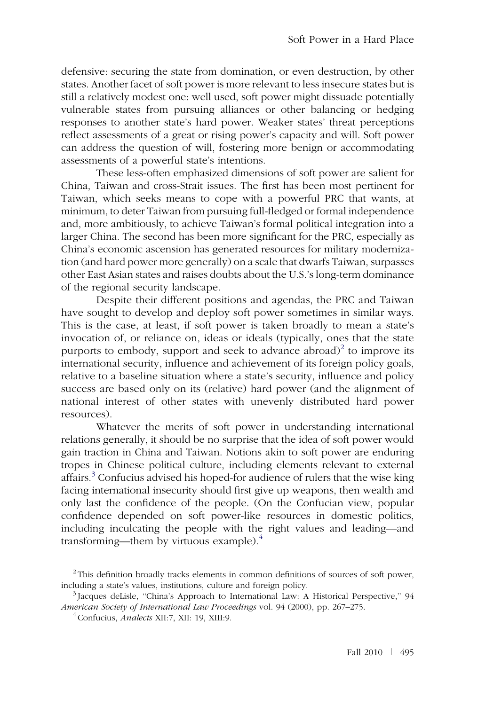defensive: securing the state from domination, or even destruction, by other states. Another facet of soft power is more relevant to less insecure states but is still a relatively modest one: well used, soft power might dissuade potentially vulnerable states from pursuing alliances or other balancing or hedging responses to another state's hard power. Weaker states' threat perceptions reflect assessments of a great or rising power's capacity and will. Soft power can address the question of will, fostering more benign or accommodating assessments of a powerful state's intentions.

These less-often emphasized dimensions of soft power are salient for China, Taiwan and cross-Strait issues. The first has been most pertinent for Taiwan, which seeks means to cope with a powerful PRC that wants, at minimum, to deter Taiwan from pursuing full-fledged or formal independence and, more ambitiously, to achieve Taiwan's formal political integration into a larger China. The second has been more significant for the PRC, especially as China's economic ascension has generated resources for military modernization (and hard power more generally) on a scale that dwarfs Taiwan, surpasses other East Asian states and raises doubts about the U.S.'s long-term dominance of the regional security landscape.

Despite their different positions and agendas, the PRC and Taiwan have sought to develop and deploy soft power sometimes in similar ways. This is the case, at least, if soft power is taken broadly to mean a state's invocation of, or reliance on, ideas or ideals (typically, ones that the state purports to embody, support and seek to advance abroad)<sup>2</sup> to improve its international security, influence and achievement of its foreign policy goals, relative to a baseline situation where a state's security, influence and policy success are based only on its (relative) hard power (and the alignment of national interest of other states with unevenly distributed hard power resources).

Whatever the merits of soft power in understanding international relations generally, it should be no surprise that the idea of soft power would gain traction in China and Taiwan. Notions akin to soft power are enduring tropes in Chinese political culture, including elements relevant to external affairs.3 Confucius advised his hoped-for audience of rulers that the wise king facing international insecurity should first give up weapons, then wealth and only last the confidence of the people. (On the Confucian view, popular confidence depended on soft power-like resources in domestic politics, including inculcating the people with the right values and leading—and transforming—them by virtuous example). $^{4}$ 

<sup>&</sup>lt;sup>2</sup> This definition broadly tracks elements in common definitions of sources of soft power, including a state's values, institutions, culture and foreign policy. <sup>3</sup> Jacques deLisle, ''China's Approach to International Law: A Historical Perspective,'' 94

American Society of International Law Proceedings vol. 94 (2000), pp. 267–275.<br><sup>4</sup> Confucius, Analects XII:7, XII: 19, XIII:9.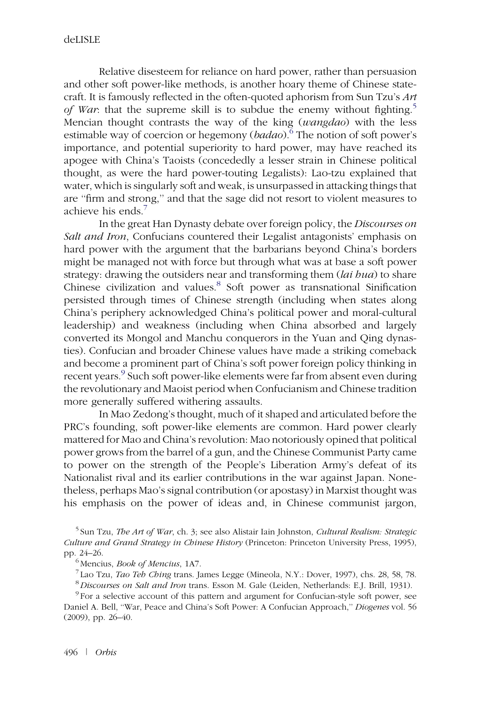Relative disesteem for reliance on hard power, rather than persuasion and other soft power-like methods, is another hoary theme of Chinese statecraft. It is famously reflected in the often-quoted aphorism from Sun Tzu's Art of War: that the supreme skill is to subdue the enemy without fighting.<sup>5</sup> Mencian thought contrasts the way of the king (wangdao) with the less estimable way of coercion or hegemony  $(badao)$ .<sup>6</sup> The notion of soft power's importance, and potential superiority to hard power, may have reached its apogee with China's Taoists (concededly a lesser strain in Chinese political thought, as were the hard power-touting Legalists): Lao-tzu explained that water, which is singularly soft and weak, is unsurpassed in attacking things that are ''firm and strong,'' and that the sage did not resort to violent measures to achieve his ends.<sup>7</sup>

In the great Han Dynasty debate over foreign policy, the Discourses on Salt and Iron, Confucians countered their Legalist antagonists' emphasis on hard power with the argument that the barbarians beyond China's borders might be managed not with force but through what was at base a soft power strategy: drawing the outsiders near and transforming them (*lai bua*) to share Chinese civilization and values.<sup>8</sup> Soft power as transnational Sinification persisted through times of Chinese strength (including when states along China's periphery acknowledged China's political power and moral-cultural leadership) and weakness (including when China absorbed and largely converted its Mongol and Manchu conquerors in the Yuan and Qing dynasties). Confucian and broader Chinese values have made a striking comeback and become a prominent part of China's soft power foreign policy thinking in recent years.<sup>9</sup> Such soft power-like elements were far from absent even during the revolutionary and Maoist period when Confucianism and Chinese tradition more generally suffered withering assaults.

In Mao Zedong's thought, much of it shaped and articulated before the PRC's founding, soft power-like elements are common. Hard power clearly mattered for Mao and China's revolution: Mao notoriously opined that political power grows from the barrel of a gun, and the Chinese Communist Party came to power on the strength of the People's Liberation Army's defeat of its Nationalist rival and its earlier contributions in the war against Japan. Nonetheless, perhaps Mao's signal contribution (or apostasy) in Marxist thought was his emphasis on the power of ideas and, in Chinese communist jargon,

 $5$  Sun Tzu, *The Art of War*, ch. 3; see also Alistair Iain Johnston, *Cultural Realism: Strategic* Culture and Grand Strategy in Chinese History (Princeton: Princeton University Press, 1995), pp. 24–26.<br><sup>6</sup> Mencius, *Book of Mencius*, 1A7.

 $^7$ Lao Tzu, *Tao Teb Ching* trans. James Legge (Mineola, N.Y.: Dover, 1997), chs. 28, 58, 78.<br>  $^8$  *Discourses on Salt and Iron* trans. Esson M. Gale (Leiden, Netherlands: E.J. Brill, 1931).<br>  $^9$  For a selective accoun

Daniel A. Bell, ''War, Peace and China's Soft Power: A Confucian Approach,'' Diogenes vol. 56 (2009), pp. 26–40.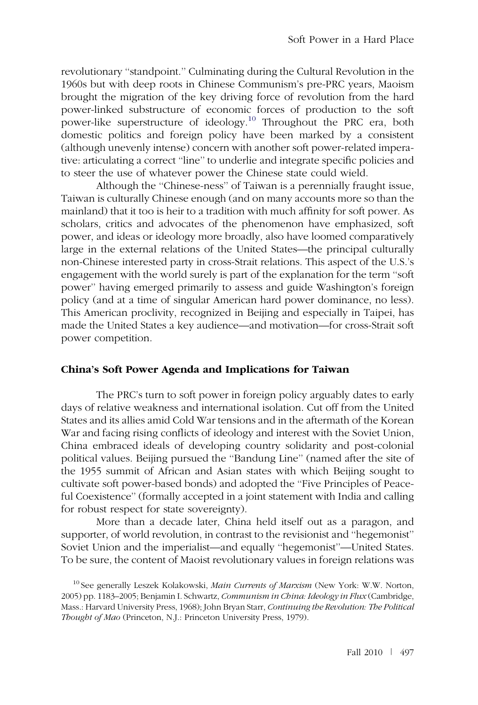revolutionary ''standpoint.'' Culminating during the Cultural Revolution in the 1960s but with deep roots in Chinese Communism's pre-PRC years, Maoism brought the migration of the key driving force of revolution from the hard power-linked substructure of economic forces of production to the soft power-like superstructure of ideology.<sup>10</sup> Throughout the PRC era, both domestic politics and foreign policy have been marked by a consistent (although unevenly intense) concern with another soft power-related imperative: articulating a correct ''line'' to underlie and integrate specific policies and to steer the use of whatever power the Chinese state could wield.

Although the ''Chinese-ness'' of Taiwan is a perennially fraught issue, Taiwan is culturally Chinese enough (and on many accounts more so than the mainland) that it too is heir to a tradition with much affinity for soft power. As scholars, critics and advocates of the phenomenon have emphasized, soft power, and ideas or ideology more broadly, also have loomed comparatively large in the external relations of the United States—the principal culturally non-Chinese interested party in cross-Strait relations. This aspect of the U.S.'s engagement with the world surely is part of the explanation for the term ''soft power'' having emerged primarily to assess and guide Washington's foreign policy (and at a time of singular American hard power dominance, no less). This American proclivity, recognized in Beijing and especially in Taipei, has made the United States a key audience—and motivation—for cross-Strait soft power competition.

### China's Soft Power Agenda and Implications for Taiwan

The PRC's turn to soft power in foreign policy arguably dates to early days of relative weakness and international isolation. Cut off from the United States and its allies amid Cold War tensions and in the aftermath of the Korean War and facing rising conflicts of ideology and interest with the Soviet Union, China embraced ideals of developing country solidarity and post-colonial political values. Beijing pursued the ''Bandung Line'' (named after the site of the 1955 summit of African and Asian states with which Beijing sought to cultivate soft power-based bonds) and adopted the ''Five Principles of Peaceful Coexistence'' (formally accepted in a joint statement with India and calling for robust respect for state sovereignty).

More than a decade later, China held itself out as a paragon, and supporter, of world revolution, in contrast to the revisionist and ''hegemonist'' Soviet Union and the imperialist—and equally ''hegemonist''—United States. To be sure, the content of Maoist revolutionary values in foreign relations was

 $10$  See generally Leszek Kolakowski, *Main Currents of Marxism* (New York: W.W. Norton, 2005) pp. 1183–2005; Benjamin I. Schwartz, Communism in China: Ideology in Flux (Cambridge, Mass.: Harvard University Press, 1968); John Bryan Starr, Continuing the Revolution: The Political Thought of Mao (Princeton, N.J.: Princeton University Press, 1979).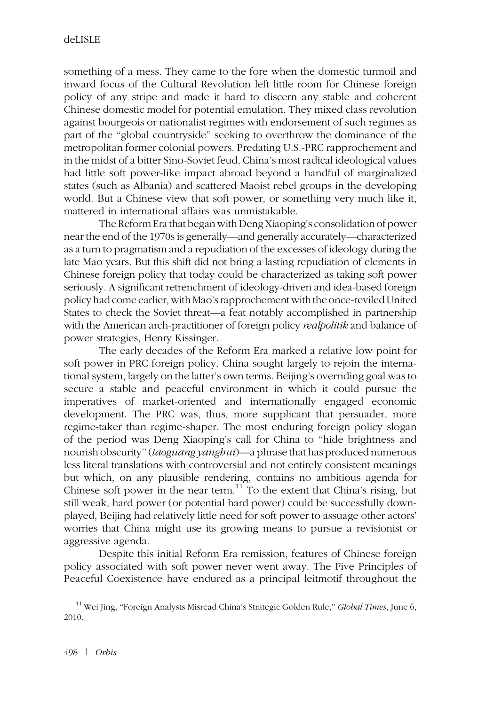something of a mess. They came to the fore when the domestic turmoil and inward focus of the Cultural Revolution left little room for Chinese foreign policy of any stripe and made it hard to discern any stable and coherent Chinese domestic model for potential emulation. They mixed class revolution against bourgeois or nationalist regimes with endorsement of such regimes as part of the ''global countryside'' seeking to overthrow the dominance of the metropolitan former colonial powers. Predating U.S.-PRC rapprochement and in the midst of a bitter Sino-Soviet feud, China's most radical ideological values had little soft power-like impact abroad beyond a handful of marginalized states (such as Albania) and scattered Maoist rebel groups in the developing world. But a Chinese view that soft power, or something very much like it, mattered in international affairs was unmistakable.

The Reform Era that began with Deng Xiaoping's consolidation of power near the end of the 1970s is generally—and generally accurately—characterized as a turn to pragmatism and a repudiation of the excesses of ideology during the late Mao years. But this shift did not bring a lasting repudiation of elements in Chinese foreign policy that today could be characterized as taking soft power seriously. A significant retrenchment of ideology-driven and idea-based foreign policy had come earlier, with Mao's rapprochement with the once-reviled United States to check the Soviet threat—a feat notably accomplished in partnership with the American arch-practitioner of foreign policy *realpolitik* and balance of power strategies, Henry Kissinger.

The early decades of the Reform Era marked a relative low point for soft power in PRC foreign policy. China sought largely to rejoin the international system, largely on the latter's own terms. Beijing's overriding goal was to secure a stable and peaceful environment in which it could pursue the imperatives of market-oriented and internationally engaged economic development. The PRC was, thus, more supplicant that persuader, more regime-taker than regime-shaper. The most enduring foreign policy slogan of the period was Deng Xiaoping's call for China to ''hide brightness and nourish obscurity" (taoguang yanghui)—a phrase that has produced numerous less literal translations with controversial and not entirely consistent meanings but which, on any plausible rendering, contains no ambitious agenda for Chinese soft power in the near term. $11$  To the extent that China's rising, but still weak, hard power (or potential hard power) could be successfully downplayed, Beijing had relatively little need for soft power to assuage other actors' worries that China might use its growing means to pursue a revisionist or aggressive agenda.

Despite this initial Reform Era remission, features of Chinese foreign policy associated with soft power never went away. The Five Principles of Peaceful Coexistence have endured as a principal leitmotif throughout the

<sup>&</sup>lt;sup>11</sup> Wei Jing, "Foreign Analysts Misread China's Strategic Golden Rule," Global Times, June 6, 2010.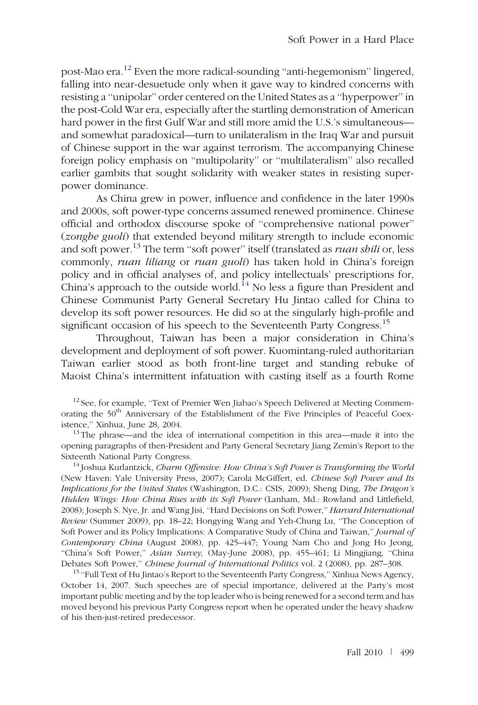post-Mao era.12 Even the more radical-sounding ''anti-hegemonism'' lingered, falling into near-desuetude only when it gave way to kindred concerns with resisting a ''unipolar'' order centered on the United States as a ''hyperpower'' in the post-Cold War era, especially after the startling demonstration of American hard power in the first Gulf War and still more amid the U.S.'s simultaneous and somewhat paradoxical—turn to unilateralism in the Iraq War and pursuit of Chinese support in the war against terrorism. The accompanying Chinese foreign policy emphasis on ''multipolarity'' or ''multilateralism'' also recalled earlier gambits that sought solidarity with weaker states in resisting superpower dominance.

As China grew in power, influence and confidence in the later 1990s and 2000s, soft power-type concerns assumed renewed prominence. Chinese official and orthodox discourse spoke of ''comprehensive national power'' (zonghe guoli) that extended beyond military strength to include economic and soft power.<sup>13</sup> The term "soft power" itself (translated as *ruan shili* or, less commonly, *ruan liliang* or *ruan guoli*) has taken hold in China's foreign policy and in official analyses of, and policy intellectuals' prescriptions for, China's approach to the outside world.<sup>14</sup> No less a figure than President and Chinese Communist Party General Secretary Hu Jintao called for China to develop its soft power resources. He did so at the singularly high-profile and significant occasion of his speech to the Seventeenth Party Congress.<sup>15</sup>

Throughout, Taiwan has been a major consideration in China's development and deployment of soft power. Kuomintang-ruled authoritarian Taiwan earlier stood as both front-line target and standing rebuke of Maoist China's intermittent infatuation with casting itself as a fourth Rome

<sup>12</sup> See, for example, "Text of Premier Wen Jiabao's Speech Delivered at Meeting Commemorating the 50<sup>th</sup> Anniversary of the Establishment of the Five Principles of Peaceful Coexistence," Xinhua, June 28, 2004.<br><sup>13</sup> The phrase—and the idea of international competition in this area—made it into the

opening paragraphs of then-President and Party General Secretary Jiang Zemin's Report to the Sixteenth National Party Congress.<br><sup>14</sup> Joshua Kurlantzick, *Charm Offensive: How China's Soft Power is Transforming the World* 

(New Haven: Yale University Press, 2007); Carola McGiffert, ed. Chinese Soft Power and Its Implications for the United States (Washington, D.C.: CSIS, 2009); Sheng Ding, The Dragon's Hidden Wings: How China Rises with its Soft Power (Lanham, Md.: Rowland and Littlefield, 2008); Joseph S. Nye, Jr. and Wang Jisi, ''Hard Decisions on Soft Power,'' Harvard International Review (Summer 2009), pp. 18–22; Hongying Wang and Yeh-Chung Lu, ''The Conception of Soft Power and its Policy Implications: A Comparative Study of China and Taiwan,'' Journal of Contemporary China (August 2008), pp. 425–447; Young Nam Cho and Jong Ho Jeong, "China's Soft Power," Asian Survey, (May-June 2008), pp. 455–461; Li Mingjiang, "China<br>Debates Soft Power," Chinese Journal of International Politics vol. 2 (2008), pp. 287–308.

<sup>15</sup> "Full Text of Hu Jintao's Report to the Seventeenth Party Congress," Xinhua News Agency, October 14, 2007. Such speeches are of special importance, delivered at the Party's most important public meeting and by the top leader who is being renewed for a second term and has moved beyond his previous Party Congress report when he operated under the heavy shadow of his then-just-retired predecessor.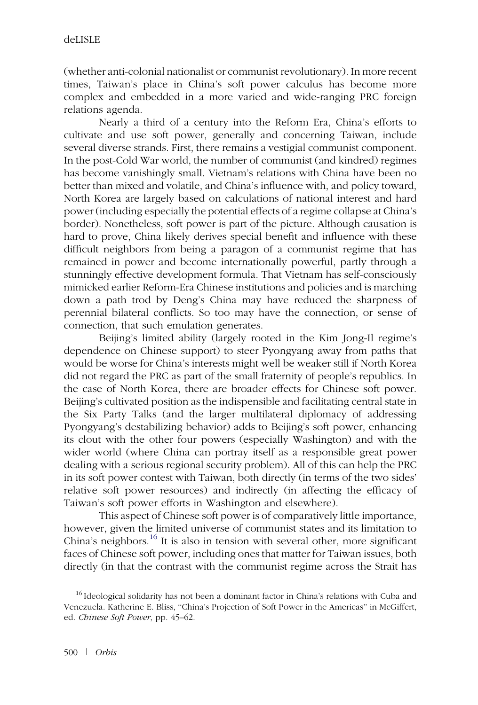(whether anti-colonial nationalist or communist revolutionary). In more recent times, Taiwan's place in China's soft power calculus has become more complex and embedded in a more varied and wide-ranging PRC foreign relations agenda.

Nearly a third of a century into the Reform Era, China's efforts to cultivate and use soft power, generally and concerning Taiwan, include several diverse strands. First, there remains a vestigial communist component. In the post-Cold War world, the number of communist (and kindred) regimes has become vanishingly small. Vietnam's relations with China have been no better than mixed and volatile, and China's influence with, and policy toward, North Korea are largely based on calculations of national interest and hard power (including especially the potential effects of a regime collapse at China's border). Nonetheless, soft power is part of the picture. Although causation is hard to prove, China likely derives special benefit and influence with these difficult neighbors from being a paragon of a communist regime that has remained in power and become internationally powerful, partly through a stunningly effective development formula. That Vietnam has self-consciously mimicked earlier Reform-Era Chinese institutions and policies and is marching down a path trod by Deng's China may have reduced the sharpness of perennial bilateral conflicts. So too may have the connection, or sense of connection, that such emulation generates.

Beijing's limited ability (largely rooted in the Kim Jong-Il regime's dependence on Chinese support) to steer Pyongyang away from paths that would be worse for China's interests might well be weaker still if North Korea did not regard the PRC as part of the small fraternity of people's republics. In the case of North Korea, there are broader effects for Chinese soft power. Beijing's cultivated position as the indispensible and facilitating central state in the Six Party Talks (and the larger multilateral diplomacy of addressing Pyongyang's destabilizing behavior) adds to Beijing's soft power, enhancing its clout with the other four powers (especially Washington) and with the wider world (where China can portray itself as a responsible great power dealing with a serious regional security problem). All of this can help the PRC in its soft power contest with Taiwan, both directly (in terms of the two sides' relative soft power resources) and indirectly (in affecting the efficacy of Taiwan's soft power efforts in Washington and elsewhere).

This aspect of Chinese soft power is of comparatively little importance, however, given the limited universe of communist states and its limitation to China's neighbors.<sup>16</sup> It is also in tension with several other, more significant faces of Chinese soft power, including ones that matter for Taiwan issues, both directly (in that the contrast with the communist regime across the Strait has

<sup>&</sup>lt;sup>16</sup> Ideological solidarity has not been a dominant factor in China's relations with Cuba and Venezuela. Katherine E. Bliss, ''China's Projection of Soft Power in the Americas'' in McGiffert, ed. Chinese Soft Power, pp. 45–62.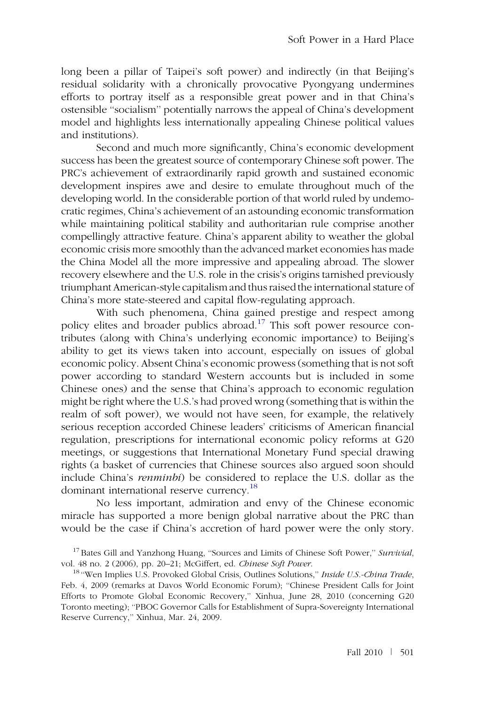long been a pillar of Taipei's soft power) and indirectly (in that Beijing's residual solidarity with a chronically provocative Pyongyang undermines efforts to portray itself as a responsible great power and in that China's ostensible ''socialism'' potentially narrows the appeal of China's development model and highlights less internationally appealing Chinese political values and institutions).

Second and much more significantly, China's economic development success has been the greatest source of contemporary Chinese soft power. The PRC's achievement of extraordinarily rapid growth and sustained economic development inspires awe and desire to emulate throughout much of the developing world. In the considerable portion of that world ruled by undemocratic regimes, China's achievement of an astounding economic transformation while maintaining political stability and authoritarian rule comprise another compellingly attractive feature. China's apparent ability to weather the global economic crisis more smoothly than the advanced market economies has made the China Model all the more impressive and appealing abroad. The slower recovery elsewhere and the U.S. role in the crisis's origins tarnished previously triumphant American-style capitalism and thus raised the international stature of China's more state-steered and capital flow-regulating approach.

With such phenomena, China gained prestige and respect among policy elites and broader publics abroad.<sup>17</sup> This soft power resource contributes (along with China's underlying economic importance) to Beijing's ability to get its views taken into account, especially on issues of global economic policy. Absent China's economic prowess (something that is not soft power according to standard Western accounts but is included in some Chinese ones) and the sense that China's approach to economic regulation might be right where the U.S.'s had proved wrong (something that is within the realm of soft power), we would not have seen, for example, the relatively serious reception accorded Chinese leaders' criticisms of American financial regulation, prescriptions for international economic policy reforms at G20 meetings, or suggestions that International Monetary Fund special drawing rights (a basket of currencies that Chinese sources also argued soon should include China's renminbi) be considered to replace the U.S. dollar as the dominant international reserve currency.<sup>18</sup>

No less important, admiration and envy of the Chinese economic miracle has supported a more benign global narrative about the PRC than would be the case if China's accretion of hard power were the only story.

<sup>&</sup>lt;sup>17</sup> Bates Gill and Yanzhong Huang, "Sources and Limits of Chinese Soft Power," Survivial, vol. 48 no. 2 (2006), pp. 20–21; McGiffert, ed. *Chinese Soft Power*.<br><sup>18</sup> "Wen Implies U.S. Provoked Global Crisis, Outlines Solutions," *Inside U.S.-China Trade*,

Feb. 4, 2009 (remarks at Davos World Economic Forum); ''Chinese President Calls for Joint Efforts to Promote Global Economic Recovery,'' Xinhua, June 28, 2010 (concerning G20 Toronto meeting); ''PBOC Governor Calls for Establishment of Supra-Sovereignty International Reserve Currency,'' Xinhua, Mar. 24, 2009.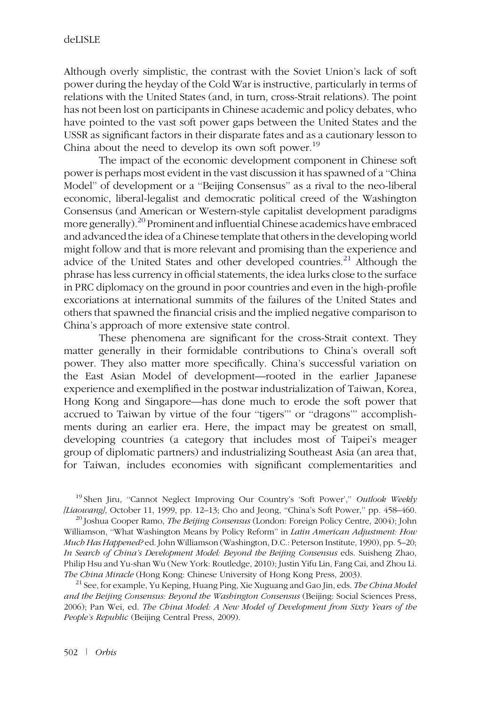Although overly simplistic, the contrast with the Soviet Union's lack of soft power during the heyday of the Cold War is instructive, particularly in terms of relations with the United States (and, in turn, cross-Strait relations). The point has not been lost on participants in Chinese academic and policy debates, who have pointed to the vast soft power gaps between the United States and the USSR as significant factors in their disparate fates and as a cautionary lesson to China about the need to develop its own soft power.<sup>19</sup>

The impact of the economic development component in Chinese soft power is perhaps most evident in the vast discussion it has spawned of a ''China Model'' of development or a ''Beijing Consensus'' as a rival to the neo-liberal economic, liberal-legalist and democratic political creed of the Washington Consensus (and American or Western-style capitalist development paradigms more generally).<sup>20</sup> Prominent and influential Chinese academics have embraced and advanced the idea of a Chinese template that others in the developing world might follow and that is more relevant and promising than the experience and advice of the United States and other developed countries.<sup>21</sup> Although the phrase has less currency in official statements, the idea lurks close to the surface in PRC diplomacy on the ground in poor countries and even in the high-profile excoriations at international summits of the failures of the United States and others that spawned the financial crisis and the implied negative comparison to China's approach of more extensive state control.

These phenomena are significant for the cross-Strait context. They matter generally in their formidable contributions to China's overall soft power. They also matter more specifically. China's successful variation on the East Asian Model of development—rooted in the earlier Japanese experience and exemplified in the postwar industrialization of Taiwan, Korea, Hong Kong and Singapore—has done much to erode the soft power that accrued to Taiwan by virtue of the four ''tigers''' or ''dragons''' accomplishments during an earlier era. Here, the impact may be greatest on small, developing countries (a category that includes most of Taipei's meager group of diplomatic partners) and industrializing Southeast Asia (an area that, for Taiwan, includes economies with significant complementarities and

<sup>19</sup> Shen Jiru, "Cannot Neglect Improving Our Country's 'Soft Power'," *Outlook Weekly [Liaowang]*, October 11, 1999, pp.  $12-13$ ; Cho and Jeong, "China's Soft Power," pp.  $458-460$ .

<sup>20</sup> Joshua Cooper Ramo, *The Beijing Consensus* (London: Foreign Policy Centre, 2004); John Williamson, "What Washington Means by Policy Reform" in Latin American Adjustment: How Much Has Happened? ed. John Williamson (Washington, D.C.: Peterson Institute, 1990), pp. 5–20; In Search of China's Development Model: Beyond the Beijing Consensus eds. Suisheng Zhao, Philip Hsu and Yu-shan Wu (New York: Routledge, 2010); Justin Yifu Lin, Fang Cai, and Zhou Li. The China Miracle (Hong Kong: Chinese University of Hong Kong Press, 2003). <sup>21</sup> See, for example, Yu Keping, Huang Ping, Xie Xuguang and Gao Jin, eds. The China Model

and the Beijing Consensus: Beyond the Washington Consensus (Beijing: Social Sciences Press, 2006); Pan Wei, ed. The China Model: A New Model of Development from Sixty Years of the People's Republic (Beijing Central Press, 2009).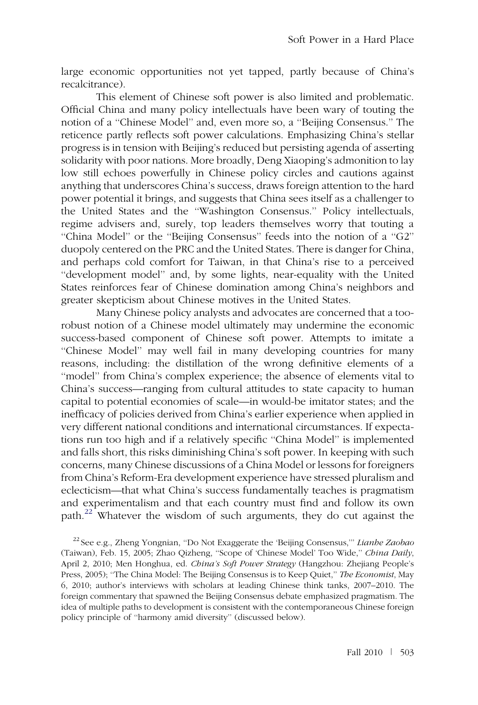large economic opportunities not yet tapped, partly because of China's recalcitrance).

This element of Chinese soft power is also limited and problematic. Official China and many policy intellectuals have been wary of touting the notion of a ''Chinese Model'' and, even more so, a ''Beijing Consensus.'' The reticence partly reflects soft power calculations. Emphasizing China's stellar progress is in tension with Beijing's reduced but persisting agenda of asserting solidarity with poor nations. More broadly, Deng Xiaoping's admonition to lay low still echoes powerfully in Chinese policy circles and cautions against anything that underscores China's success, draws foreign attention to the hard power potential it brings, and suggests that China sees itself as a challenger to the United States and the ''Washington Consensus.'' Policy intellectuals, regime advisers and, surely, top leaders themselves worry that touting a ''China Model'' or the ''Beijing Consensus'' feeds into the notion of a ''G2'' duopoly centered on the PRC and the United States. There is danger for China, and perhaps cold comfort for Taiwan, in that China's rise to a perceived ''development model'' and, by some lights, near-equality with the United States reinforces fear of Chinese domination among China's neighbors and greater skepticism about Chinese motives in the United States.

Many Chinese policy analysts and advocates are concerned that a toorobust notion of a Chinese model ultimately may undermine the economic success-based component of Chinese soft power. Attempts to imitate a "Chinese Model" may well fail in many developing countries for many reasons, including: the distillation of the wrong definitive elements of a "model" from China's complex experience; the absence of elements vital to China's success—ranging from cultural attitudes to state capacity to human capital to potential economies of scale—in would-be imitator states; and the inefficacy of policies derived from China's earlier experience when applied in very different national conditions and international circumstances. If expectations run too high and if a relatively specific ''China Model'' is implemented and falls short, this risks diminishing China's soft power. In keeping with such concerns, many Chinese discussions of a China Model or lessons for foreigners from China's Reform-Era development experience have stressed pluralism and eclecticism—that what China's success fundamentally teaches is pragmatism and experimentalism and that each country must find and follow its own path.22 Whatever the wisdom of such arguments, they do cut against the

 $22$  See e.g., Zheng Yongnian, "Do Not Exaggerate the 'Beijing Consensus," *Lianhe Zaobao* (Taiwan), Feb. 15, 2005; Zhao Qizheng, ''Scope of 'Chinese Model' Too Wide,'' China Daily, April 2, 2010; Men Honghua, ed. China's Soft Power Strategy (Hangzhou: Zhejiang People's Press, 2005); "The China Model: The Beijing Consensus is to Keep Quiet," The Economist, May 6, 2010; author's interviews with scholars at leading Chinese think tanks, 2007–2010. The foreign commentary that spawned the Beijing Consensus debate emphasized pragmatism. The idea of multiple paths to development is consistent with the contemporaneous Chinese foreign policy principle of ''harmony amid diversity'' (discussed below).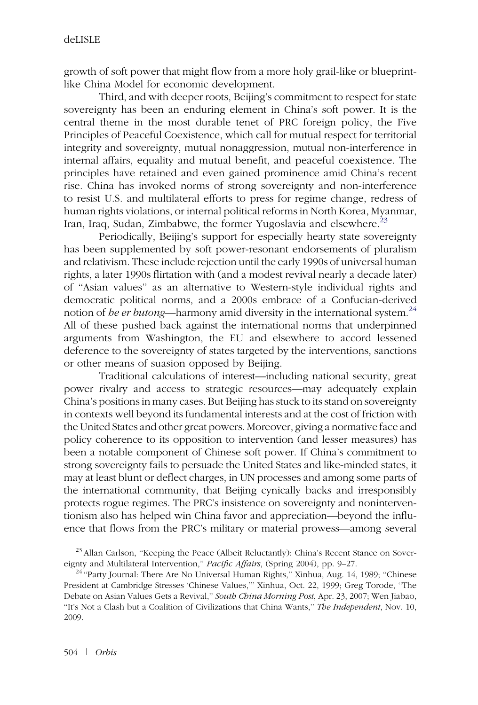growth of soft power that might flow from a more holy grail-like or blueprintlike China Model for economic development.

Third, and with deeper roots, Beijing's commitment to respect for state sovereignty has been an enduring element in China's soft power. It is the central theme in the most durable tenet of PRC foreign policy, the Five Principles of Peaceful Coexistence, which call for mutual respect for territorial integrity and sovereignty, mutual nonaggression, mutual non-interference in internal affairs, equality and mutual benefit, and peaceful coexistence. The principles have retained and even gained prominence amid China's recent rise. China has invoked norms of strong sovereignty and non-interference to resist U.S. and multilateral efforts to press for regime change, redress of human rights violations, or internal political reforms in North Korea, Myanmar, Iran, Iraq, Sudan, Zimbabwe, the former Yugoslavia and elsewhere. $^{23}$ 

Periodically, Beijing's support for especially hearty state sovereignty has been supplemented by soft power-resonant endorsements of pluralism and relativism. These include rejection until the early 1990s of universal human rights, a later 1990s flirtation with (and a modest revival nearly a decade later) of ''Asian values'' as an alternative to Western-style individual rights and democratic political norms, and a 2000s embrace of a Confucian-derived notion of he er butong—harmony amid diversity in the international system.<sup>24</sup> All of these pushed back against the international norms that underpinned arguments from Washington, the EU and elsewhere to accord lessened deference to the sovereignty of states targeted by the interventions, sanctions or other means of suasion opposed by Beijing.

Traditional calculations of interest—including national security, great power rivalry and access to strategic resources—may adequately explain China's positions in many cases. But Beijing has stuck to its stand on sovereignty in contexts well beyond its fundamental interests and at the cost of friction with the United States and other great powers. Moreover, giving a normative face and policy coherence to its opposition to intervention (and lesser measures) has been a notable component of Chinese soft power. If China's commitment to strong sovereignty fails to persuade the United States and like-minded states, it may at least blunt or deflect charges, in UN processes and among some parts of the international community, that Beijing cynically backs and irresponsibly protects rogue regimes. The PRC's insistence on sovereignty and noninterventionism also has helped win China favor and appreciation—beyond the influence that flows from the PRC's military or material prowess—among several

<sup>&</sup>lt;sup>23</sup> Allan Carlson, "Keeping the Peace (Albeit Reluctantly): China's Recent Stance on Sover-<br>eignty and Multilateral Intervention," *Pacific Affairs*, (Spring 2004), pp. 9–27.

<sup>&</sup>lt;sup>24</sup> "Party Journal: There Are No Universal Human Rights," Xinhua, Aug. 14, 1989; "Chinese President at Cambridge Stresses 'Chinese Values,''' Xinhua, Oct. 22, 1999; Greg Torode, ''The Debate on Asian Values Gets a Revival,'' South China Morning Post, Apr. 23, 2007; Wen Jiabao, ''It's Not a Clash but a Coalition of Civilizations that China Wants,'' The Independent, Nov. 10, 2009.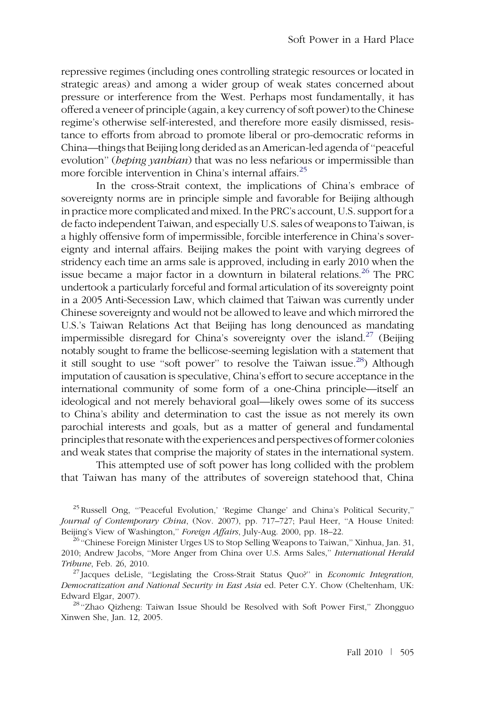repressive regimes (including ones controlling strategic resources or located in strategic areas) and among a wider group of weak states concerned about pressure or interference from the West. Perhaps most fundamentally, it has offered a veneer of principle (again, a key currency of soft power) to the Chinese regime's otherwise self-interested, and therefore more easily dismissed, resistance to efforts from abroad to promote liberal or pro-democratic reforms in China—things that Beijing long derided asan American-ledagenda of''peaceful evolution'' (heping yanbian) that was no less nefarious or impermissible than more forcible intervention in China's internal affairs.25

In the cross-Strait context, the implications of China's embrace of sovereignty norms are in principle simple and favorable for Beijing although inpractice morecomplicatedand mixed. In the PRC's account, U.S. support for a de facto independent Taiwan, and especially U.S. sales of weapons to Taiwan, is a highly offensive form of impermissible, forcible interference in China's sovereignty and internal affairs. Beijing makes the point with varying degrees of stridency each time an arms sale is approved, including in early 2010 when the issue became a major factor in a downturn in bilateral relations.26 The PRC undertook a particularly forceful and formal articulation of its sovereignty point in a 2005 Anti-Secession Law, which claimed that Taiwan was currently under Chinese sovereignty and would not be allowed to leave and which mirrored the U.S.'s Taiwan Relations Act that Beijing has long denounced as mandating impermissible disregard for China's sovereignty over the island.<sup>27</sup> (Beijing notably sought to frame the bellicose-seeming legislation with a statement that it still sought to use "soft power" to resolve the Taiwan issue.<sup>28</sup>) Although imputation of causation is speculative, China's effort to secure acceptance in the international community of some form of a one-China principle—itself an ideological and not merely behavioral goal—likely owes some of its success to China's ability and determination to cast the issue as not merely its own parochial interests and goals, but as a matter of general and fundamental principles that resonate with the experiences and perspectives of former colonies and weak states that comprise the majority of states in the international system.

This attempted use of soft power has long collided with the problem that Taiwan has many of the attributes of sovereign statehood that, China

<sup>25</sup> Russell Ong, '''Peaceful Evolution,' 'Regime Change' and China's Political Security,'' Journal of Contemporary China, (Nov. 2007), pp. 717-727; Paul Heer, "A House United: Beijing's View of Washington," Foreign Affairs, July-Aug. 2000, pp. 18-22.

Xinwen She, Jan. 12, 2005.

<sup>&</sup>lt;sup>26</sup> "Chinese Foreign Minister Urges US to Stop Selling Weapons to Taiwan," Xinhua, Jan. 31, 2010; Andrew Jacobs, ''More Anger from China over U.S. Arms Sales,'' International Herald

 $^{27}$ Jacques deLisle, "Legislating the Cross-Strait Status Quo?" in *Economic Integration*, Democratization and National Security in East Asia ed. Peter C.Y. Chow (Cheltenham, UK: Edward Elgar, 2007).<br><sup>28</sup> "Zhao Qizheng: Taiwan Issue Should be Resolved with Soft Power First," Zhongguo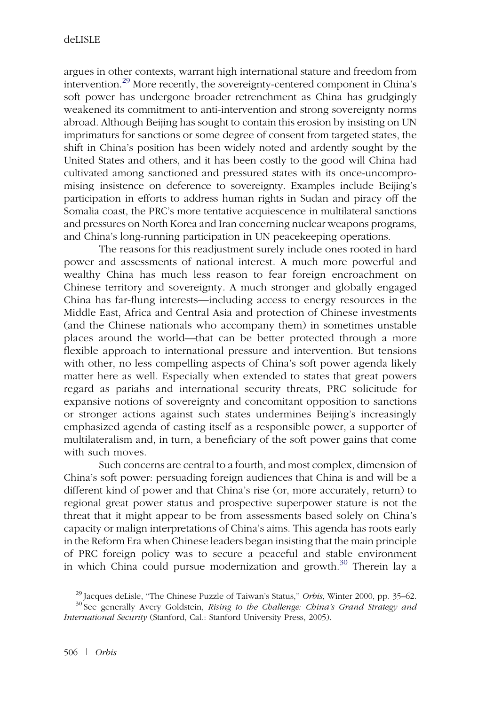argues in other contexts, warrant high international stature and freedom from intervention.<sup>29</sup> More recently, the sovereignty-centered component in China's soft power has undergone broader retrenchment as China has grudgingly weakened its commitment to anti-intervention and strong sovereignty norms abroad. Although Beijing has sought to contain this erosion by insisting on UN imprimaturs for sanctions or some degree of consent from targeted states, the shift in China's position has been widely noted and ardently sought by the United States and others, and it has been costly to the good will China had cultivated among sanctioned and pressured states with its once-uncompromising insistence on deference to sovereignty. Examples include Beijing's participation in efforts to address human rights in Sudan and piracy off the Somalia coast, the PRC's more tentative acquiescence in multilateral sanctions and pressures on North Korea and Iran concerning nuclear weapons programs, and China's long-running participation in UN peacekeeping operations.

The reasons for this readjustment surely include ones rooted in hard power and assessments of national interest. A much more powerful and wealthy China has much less reason to fear foreign encroachment on Chinese territory and sovereignty. A much stronger and globally engaged China has far-flung interests—including access to energy resources in the Middle East, Africa and Central Asia and protection of Chinese investments (and the Chinese nationals who accompany them) in sometimes unstable places around the world—that can be better protected through a more flexible approach to international pressure and intervention. But tensions with other, no less compelling aspects of China's soft power agenda likely matter here as well. Especially when extended to states that great powers regard as pariahs and international security threats, PRC solicitude for expansive notions of sovereignty and concomitant opposition to sanctions or stronger actions against such states undermines Beijing's increasingly emphasized agenda of casting itself as a responsible power, a supporter of multilateralism and, in turn, a beneficiary of the soft power gains that come with such moves.

Such concerns are central to a fourth, and most complex, dimension of China's soft power: persuading foreign audiences that China is and will be a different kind of power and that China's rise (or, more accurately, return) to regional great power status and prospective superpower stature is not the threat that it might appear to be from assessments based solely on China's capacity or malign interpretations of China's aims. This agenda has roots early in the Reform Era when Chinese leaders began insisting that the main principle of PRC foreign policy was to secure a peaceful and stable environment in which China could pursue modernization and growth.<sup>30</sup> Therein lay a

<sup>&</sup>lt;sup>29</sup> Jacques deLisle, "The Chinese Puzzle of Taiwan's Status," Orbis, Winter 2000, pp. 35–62.  $30$  See generally Avery Goldstein, *Rising to the Challenge: China's Grand Strategy and* International Security (Stanford, Cal.: Stanford University Press, 2005).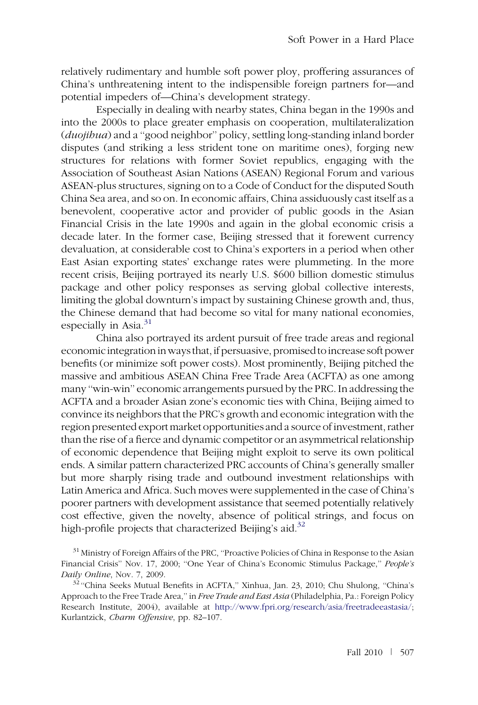relatively rudimentary and humble soft power ploy, proffering assurances of China's unthreatening intent to the indispensible foreign partners for—and potential impeders of—China's development strategy.

Especially in dealing with nearby states, China began in the 1990s and into the 2000s to place greater emphasis on cooperation, multilateralization (duojihua) and a ''good neighbor'' policy, settling long-standing inland border disputes (and striking a less strident tone on maritime ones), forging new structures for relations with former Soviet republics, engaging with the Association of Southeast Asian Nations (ASEAN) Regional Forum and various ASEAN-plus structures, signing on to a Code of Conduct for the disputed South China Sea area, and so on. In economic affairs, China assiduously cast itself as a benevolent, cooperative actor and provider of public goods in the Asian Financial Crisis in the late 1990s and again in the global economic crisis a decade later. In the former case, Beijing stressed that it forewent currency devaluation, at considerable cost to China's exporters in a period when other East Asian exporting states' exchange rates were plummeting. In the more recent crisis, Beijing portrayed its nearly U.S. \$600 billion domestic stimulus package and other policy responses as serving global collective interests, limiting the global downturn's impact by sustaining Chinese growth and, thus, the Chinese demand that had become so vital for many national economies, especially in Asia.<sup>31</sup>

China also portrayed its ardent pursuit of free trade areas and regional economic integration in ways that, if persuasive, promised to increase soft power benefits (or minimize soft power costs). Most prominently, Beijing pitched the massive and ambitious ASEAN China Free Trade Area (ACFTA) as one among many ''win-win'' economic arrangements pursued by the PRC. In addressing the ACFTA and a broader Asian zone's economic ties with China, Beijing aimed to convince its neighbors that the PRC's growth and economic integration with the region presented export market opportunities and a source of investment, rather than the rise of a fierce and dynamic competitor or an asymmetrical relationship of economic dependence that Beijing might exploit to serve its own political ends. A similar pattern characterized PRC accounts of China's generally smaller but more sharply rising trade and outbound investment relationships with Latin America and Africa. Such moves were supplemented in the case of China's poorer partners with development assistance that seemed potentially relatively cost effective, given the novelty, absence of political strings, and focus on high-profile projects that characterized Beijing's aid.<sup>32</sup>

<sup>31</sup> Ministry of Foreign Affairs of the PRC, "Proactive Policies of China in Response to the Asian Financial Crisis'' Nov. 17, 2000; ''One Year of China's Economic Stimulus Package,'' People's Daily Online, Nov. 7, 2009.<br><sup>32</sup> "China Seeks Mutual Benefits in ACFTA," Xinhua, Jan. 23, 2010; Chu Shulong, "China's

Approach to the Free Trade Area," in Free Trade and East Asia (Philadelphia, Pa.: Foreign Policy Research Institute, 2004), available at [http://www.fpri.org/research/asia/freetradeeastasia/](http://www.fpri.org/enotes/200806.delisle.taiwanmayingjeoufull.html); Kurlantzick, Charm Offensive, pp. 82–107.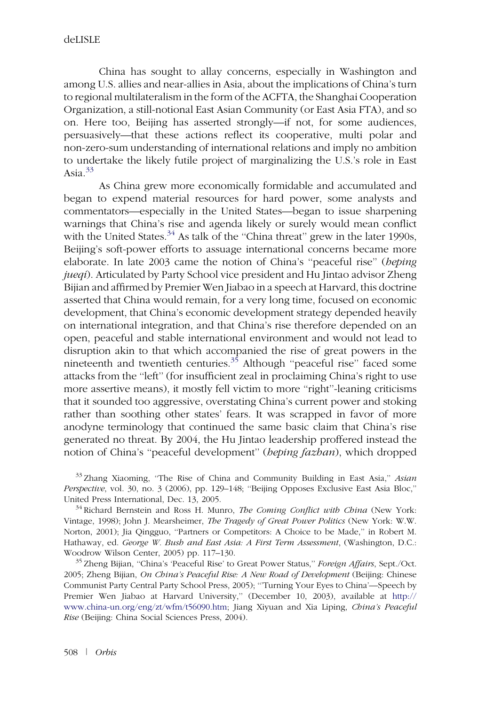China has sought to allay concerns, especially in Washington and among U.S. allies and near-allies in Asia, about the implications of China's turn to regional multilateralism in the form of the ACFTA, the Shanghai Cooperation Organization, a still-notional East Asian Community (or East Asia FTA), and so on. Here too, Beijing has asserted strongly—if not, for some audiences, persuasively—that these actions reflect its cooperative, multi polar and non-zero-sum understanding of international relations and imply no ambition to undertake the likely futile project of marginalizing the U.S.'s role in East Asia $33$ 

As China grew more economically formidable and accumulated and began to expend material resources for hard power, some analysts and commentators—especially in the United States—began to issue sharpening warnings that China's rise and agenda likely or surely would mean conflict with the United States. $34$  As talk of the "China threat" grew in the later 1990s, Beijing's soft-power efforts to assuage international concerns became more elaborate. In late 2003 came the notion of China's ''peaceful rise'' (heping jueqi). Articulated by Party School vice president and Hu Jintao advisor Zheng Bijian and affirmed by Premier Wen Jiabao in a speech at Harvard, this doctrine asserted that China would remain, for a very long time, focused on economic development, that China's economic development strategy depended heavily on international integration, and that China's rise therefore depended on an open, peaceful and stable international environment and would not lead to disruption akin to that which accompanied the rise of great powers in the nineteenth and twentieth centuries.<sup>35</sup> Although "peaceful rise" faced some attacks from the ''left'' (for insufficient zeal in proclaiming China's right to use more assertive means), it mostly fell victim to more "right"-leaning criticisms that it sounded too aggressive, overstating China's current power and stoking rather than soothing other states' fears. It was scrapped in favor of more anodyne terminology that continued the same basic claim that China's rise generated no threat. By 2004, the Hu Jintao leadership proffered instead the notion of China's "peaceful development" (*heping fazhan*), which dropped

<sup>33</sup> Zhang Xiaoming, "The Rise of China and Community Building in East Asia," *Asian* Perspective, vol. 30, no. 3 (2006), pp. 129–148; ''Beijing Opposes Exclusive East Asia Bloc,'' United Press International, Dec. 13, 2005.

 $34$  Richard Bernstein and Ross H. Munro, *The Coming Conflict with China* (New York: Vintage, 1998); John J. Mearsheimer, The Tragedy of Great Power Politics (New York: W.W. Norton, 2001); Jia Qingguo, ''Partners or Competitors: A Choice to be Made,'' in Robert M. Hathaway, ed. George W. Bush and East Asia: A First Term Assessment, (Washington, D.C.: Woodrow Wilson Center, 2005) pp. 117–130.<br><sup>35</sup> Zheng Bijian, "China's 'Peaceful Rise' to Great Power Status," *Foreign Affairs*, Sept./Oct.

2005; Zheng Bijian, On China's Peaceful Rise: A New Road of Development (Beijing: Chinese Communist Party Central Party School Press, 2005); '''Turning Your Eyes to China'—Speech by Premier Wen Jiabao at Harvard University,'' (December 10, 2003), available at [http://](http://www.fpri.org/enotes/200806.delisle.taiwanmayingjeoufull.html) [www.china-un.org/eng/zt/wfm/t56090.htm;](http://www.fpri.org/enotes/200806.delisle.taiwanmayingjeoufull.html) Jiang Xiyuan and Xia Liping, China's Peaceful Rise (Beijing: China Social Sciences Press, 2004).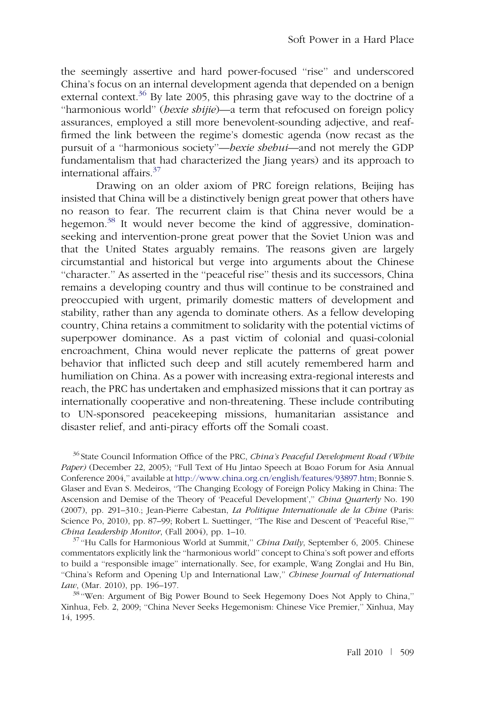the seemingly assertive and hard power-focused ''rise'' and underscored China's focus on an internal development agenda that depended on a benign external context.<sup>36</sup> By late 2005, this phrasing gave way to the doctrine of a ''harmonious world'' (hexie shijie)—a term that refocused on foreign policy assurances, employed a still more benevolent-sounding adjective, and reaffirmed the link between the regime's domestic agenda (now recast as the pursuit of a ''harmonious society''—hexie shehui—and not merely the GDP fundamentalism that had characterized the Jiang years) and its approach to international affairs.37

Drawing on an older axiom of PRC foreign relations, Beijing has insisted that China will be a distinctively benign great power that others have no reason to fear. The recurrent claim is that China never would be a hegemon.<sup>38</sup> It would never become the kind of aggressive, dominationseeking and intervention-prone great power that the Soviet Union was and that the United States arguably remains. The reasons given are largely circumstantial and historical but verge into arguments about the Chinese ''character.'' As asserted in the ''peaceful rise'' thesis and its successors, China remains a developing country and thus will continue to be constrained and preoccupied with urgent, primarily domestic matters of development and stability, rather than any agenda to dominate others. As a fellow developing country, China retains a commitment to solidarity with the potential victims of superpower dominance. As a past victim of colonial and quasi-colonial encroachment, China would never replicate the patterns of great power behavior that inflicted such deep and still acutely remembered harm and humiliation on China. As a power with increasing extra-regional interests and reach, the PRC has undertaken and emphasized missions that it can portray as internationally cooperative and non-threatening. These include contributing to UN-sponsored peacekeeping missions, humanitarian assistance and disaster relief, and anti-piracy efforts off the Somali coast.

<sup>36</sup> State Council Information Office of the PRC, *China's Peaceful Development Road (White* Paper) (December 22, 2005); "Full Text of Hu Jintao Speech at Boao Forum for Asia Annual Conference 2004,'' available at [http://www.china.org.cn/english/features/93897.htm](http://www.fpri.org/enotes/200806.delisle.taiwanmayingjeoufull.html); Bonnie S. Glaser and Evan S. Medeiros, ''The Changing Ecology of Foreign Policy Making in China: The Ascension and Demise of the Theory of 'Peaceful Development','' China Quarterly No. 190 (2007), pp. 291–310.; Jean-Pierre Cabestan, La Politique Internationale de la Chine (Paris: Science Po, 2010), pp. 87–99; Robert L. Suettinger, ''The Rise and Descent of 'Peaceful Rise,'''

China Leadership Monitor, (Fall 2004), pp. 1–10. <sup>37</sup> ''Hu Calls for Harmonious World at Summit,'' China Daily, September 6, 2005. Chinese commentators explicitly link the ''harmonious world'' concept to China's soft power and efforts to build a ''responsible image'' internationally. See, for example, Wang Zonglai and Hu Bin, ''China's Reform and Opening Up and International Law,'' Chinese Journal of International Law, (Mar. 2010), pp. 196–197.

<sup>38</sup> ''Wen: Argument of Big Power Bound to Seek Hegemony Does Not Apply to China,'' Xinhua, Feb. 2, 2009; ''China Never Seeks Hegemonism: Chinese Vice Premier,'' Xinhua, May 14, 1995.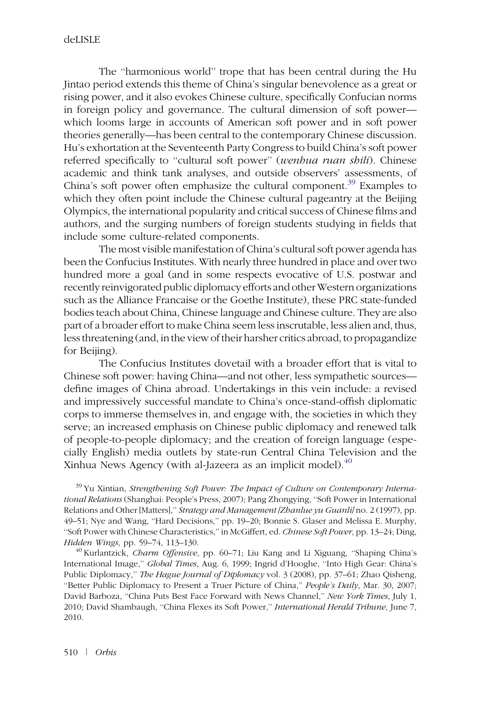The ''harmonious world'' trope that has been central during the Hu Jintao period extends this theme of China's singular benevolence as a great or rising power, and it also evokes Chinese culture, specifically Confucian norms in foreign policy and governance. The cultural dimension of soft power which looms large in accounts of American soft power and in soft power theories generally—has been central to the contemporary Chinese discussion. Hu's exhortation at the Seventeenth Party Congress to build China's soft power referred specifically to "cultural soft power" (wenhua ruan shili). Chinese academic and think tank analyses, and outside observers' assessments, of China's soft power often emphasize the cultural component.<sup>39</sup> Examples to which they often point include the Chinese cultural pageantry at the Beijing Olympics, the international popularity and critical success of Chinese films and authors, and the surging numbers of foreign students studying in fields that include some culture-related components.

The most visible manifestation of China's cultural soft power agenda has been the Confucius Institutes. With nearly three hundred in place and over two hundred more a goal (and in some respects evocative of U.S. postwar and recently reinvigorated public diplomacy efforts and other Western organizations such as the Alliance Francaise or the Goethe Institute), these PRC state-funded bodies teach about China, Chinese language and Chinese culture. They are also part of a broader effort to make China seem less inscrutable, less alien and, thus, less threatening (and, in the view of their harsher critics abroad, to propagandize for Beijing).

The Confucius Institutes dovetail with a broader effort that is vital to Chinese soft power: having China—and not other, less sympathetic sources define images of China abroad. Undertakings in this vein include: a revised and impressively successful mandate to China's once-stand-offish diplomatic corps to immerse themselves in, and engage with, the societies in which they serve; an increased emphasis on Chinese public diplomacy and renewed talk of people-to-people diplomacy; and the creation of foreign language (especially English) media outlets by state-run Central China Television and the Xinhua News Agency (with al-Jazeera as an implicit model). $40$ 

 $39$ Yu Xintian, *Strengthening Soft Power: The Impact of Culture on Contemporary Interna*tional Relations (Shanghai: People's Press, 2007); Pang Zhongying, ''Soft Power in International Relations and Other [Matters]," Strategy and Management [Zhanlue yu Guanli] no. 2 (1997), pp. 49–51; Nye and Wang, ''Hard Decisions,'' pp. 19–20; Bonnie S. Glaser and Melissa E. Murphy, ''Soft Power with Chinese Characteristics,'' in McGiffert, ed. Chinese Soft Power, pp. 13–24; Ding,

Hidden Wings, pp. 59–74, 113–130.<br><sup>40</sup>Kurlantzick, *Charm Offensive*, pp. 60–71; Liu Kang and Li Xiguang, "Shaping China's International Image,'' Global Times, Aug. 6, 1999; Ingrid d'Hooghe, ''Into High Gear: China's Public Diplomacy," The Hague Journal of Diplomacy vol. 3 (2008), pp. 37–61; Zhao Qisheng, ''Better Public Diplomacy to Present a Truer Picture of China,'' People's Daily, Mar. 30, 2007; David Barboza, "China Puts Best Face Forward with News Channel," New York Times, July 1, 2010; David Shambaugh, "China Flexes its Soft Power," International Herald Tribune, June 7, 2010.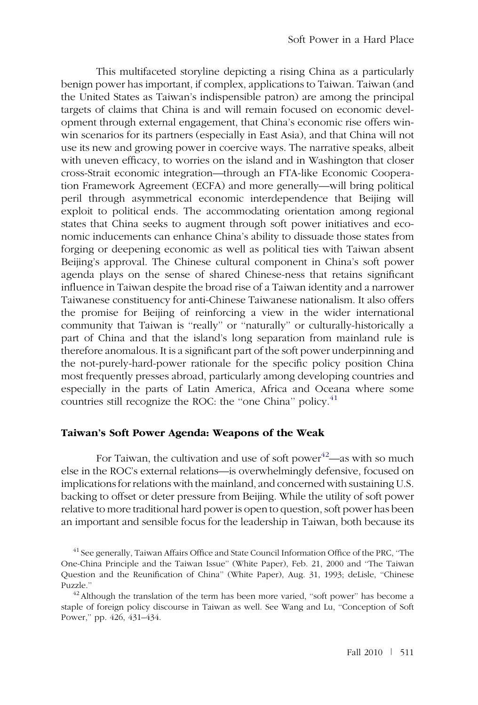This multifaceted storyline depicting a rising China as a particularly benign power has important, if complex, applications to Taiwan. Taiwan (and the United States as Taiwan's indispensible patron) are among the principal targets of claims that China is and will remain focused on economic development through external engagement, that China's economic rise offers winwin scenarios for its partners (especially in East Asia), and that China will not use its new and growing power in coercive ways. The narrative speaks, albeit with uneven efficacy, to worries on the island and in Washington that closer cross-Strait economic integration—through an FTA-like Economic Cooperation Framework Agreement (ECFA) and more generally—will bring political peril through asymmetrical economic interdependence that Beijing will exploit to political ends. The accommodating orientation among regional states that China seeks to augment through soft power initiatives and economic inducements can enhance China's ability to dissuade those states from forging or deepening economic as well as political ties with Taiwan absent Beijing's approval. The Chinese cultural component in China's soft power agenda plays on the sense of shared Chinese-ness that retains significant influence in Taiwan despite the broad rise of a Taiwan identity and a narrower Taiwanese constituency for anti-Chinese Taiwanese nationalism. It also offers the promise for Beijing of reinforcing a view in the wider international community that Taiwan is "really" or "naturally" or culturally-historically a part of China and that the island's long separation from mainland rule is therefore anomalous. It is a significant part of the soft power underpinning and the not-purely-hard-power rationale for the specific policy position China most frequently presses abroad, particularly among developing countries and especially in the parts of Latin America, Africa and Oceana where some countries still recognize the ROC: the "one China" policy.<sup>41</sup>

#### Taiwan's Soft Power Agenda: Weapons of the Weak

For Taiwan, the cultivation and use of soft power $42$ —as with so much else in the ROC's external relations—is overwhelmingly defensive, focused on implications for relations with the mainland, and concerned with sustaining U.S. backing to offset or deter pressure from Beijing. While the utility of soft power relative to more traditional hard power is open to question, soft power has been an important and sensible focus for the leadership in Taiwan, both because its

<sup>&</sup>lt;sup>41</sup> See generally, Taiwan Affairs Office and State Council Information Office of the PRC, "The One-China Principle and the Taiwan Issue'' (White Paper), Feb. 21, 2000 and ''The Taiwan Question and the Reunification of China'' (White Paper), Aug. 31, 1993; deLisle, ''Chinese Puzzle.'' 42Although the translation of the term has been more varied, ''soft power'' has become a

staple of foreign policy discourse in Taiwan as well. See Wang and Lu, ''Conception of Soft Power,'' pp. 426, 431–434.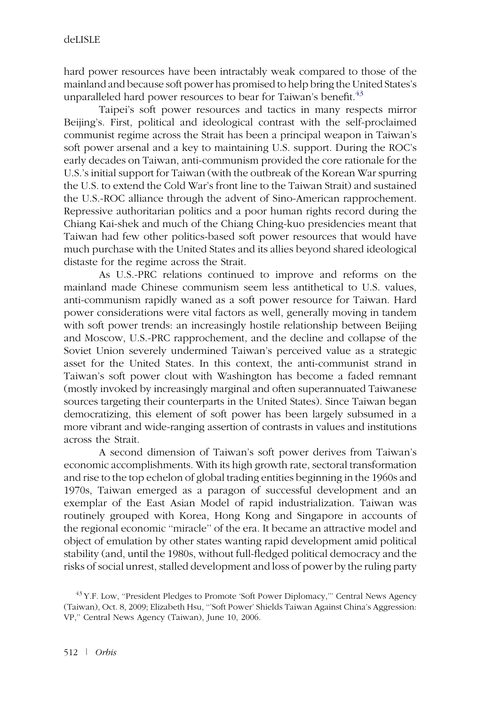hard power resources have been intractably weak compared to those of the mainland and because soft power has promised to help bring the United States's unparalleled hard power resources to bear for Taiwan's benefit. $43$ 

Taipei's soft power resources and tactics in many respects mirror Beijing's. First, political and ideological contrast with the self-proclaimed communist regime across the Strait has been a principal weapon in Taiwan's soft power arsenal and a key to maintaining U.S. support. During the ROC's early decades on Taiwan, anti-communism provided the core rationale for the U.S.'s initial support for Taiwan (with the outbreak of the Korean War spurring the U.S. to extend the Cold War's front line to the Taiwan Strait) and sustained the U.S.-ROC alliance through the advent of Sino-American rapprochement. Repressive authoritarian politics and a poor human rights record during the Chiang Kai-shek and much of the Chiang Ching-kuo presidencies meant that Taiwan had few other politics-based soft power resources that would have much purchase with the United States and its allies beyond shared ideological distaste for the regime across the Strait.

As U.S.-PRC relations continued to improve and reforms on the mainland made Chinese communism seem less antithetical to U.S. values, anti-communism rapidly waned as a soft power resource for Taiwan. Hard power considerations were vital factors as well, generally moving in tandem with soft power trends: an increasingly hostile relationship between Beijing and Moscow, U.S.-PRC rapprochement, and the decline and collapse of the Soviet Union severely undermined Taiwan's perceived value as a strategic asset for the United States. In this context, the anti-communist strand in Taiwan's soft power clout with Washington has become a faded remnant (mostly invoked by increasingly marginal and often superannuated Taiwanese sources targeting their counterparts in the United States). Since Taiwan began democratizing, this element of soft power has been largely subsumed in a more vibrant and wide-ranging assertion of contrasts in values and institutions across the Strait.

A second dimension of Taiwan's soft power derives from Taiwan's economic accomplishments. With its high growth rate, sectoral transformation and rise to the top echelon of global trading entities beginning in the 1960s and 1970s, Taiwan emerged as a paragon of successful development and an exemplar of the East Asian Model of rapid industrialization. Taiwan was routinely grouped with Korea, Hong Kong and Singapore in accounts of the regional economic ''miracle'' of the era. It became an attractive model and object of emulation by other states wanting rapid development amid political stability (and, until the 1980s, without full-fledged political democracy and the risks of social unrest, stalled development and loss of power by the ruling party

<sup>43</sup> Y.F. Low, "President Pledges to Promote 'Soft Power Diplomacy," Central News Agency (Taiwan), Oct. 8, 2009; Elizabeth Hsu, '''Soft Power' Shields Taiwan Against China's Aggression: VP,'' Central News Agency (Taiwan), June 10, 2006.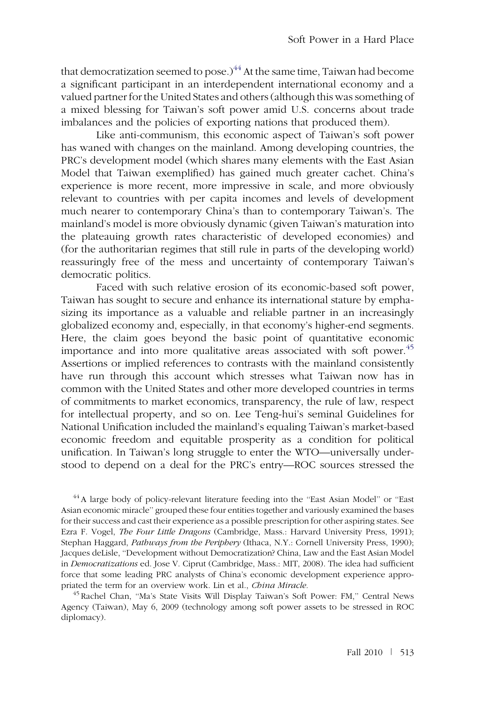that democratization seemed to pose.)<sup>44</sup> At the same time, Taiwan had become a significant participant in an interdependent international economy and a valued partner for the United States and others (although this was something of a mixed blessing for Taiwan's soft power amid U.S. concerns about trade imbalances and the policies of exporting nations that produced them).

Like anti-communism, this economic aspect of Taiwan's soft power has waned with changes on the mainland. Among developing countries, the PRC's development model (which shares many elements with the East Asian Model that Taiwan exemplified) has gained much greater cachet. China's experience is more recent, more impressive in scale, and more obviously relevant to countries with per capita incomes and levels of development much nearer to contemporary China's than to contemporary Taiwan's. The mainland's model is more obviously dynamic (given Taiwan's maturation into the plateauing growth rates characteristic of developed economies) and (for the authoritarian regimes that still rule in parts of the developing world) reassuringly free of the mess and uncertainty of contemporary Taiwan's democratic politics.

Faced with such relative erosion of its economic-based soft power, Taiwan has sought to secure and enhance its international stature by emphasizing its importance as a valuable and reliable partner in an increasingly globalized economy and, especially, in that economy's higher-end segments. Here, the claim goes beyond the basic point of quantitative economic importance and into more qualitative areas associated with soft power.<sup>45</sup> Assertions or implied references to contrasts with the mainland consistently have run through this account which stresses what Taiwan now has in common with the United States and other more developed countries in terms of commitments to market economics, transparency, the rule of law, respect for intellectual property, and so on. Lee Teng-hui's seminal Guidelines for National Unification included the mainland's equaling Taiwan's market-based economic freedom and equitable prosperity as a condition for political unification. In Taiwan's long struggle to enter the WTO—universally understood to depend on a deal for the PRC's entry—ROC sources stressed the

<sup>44</sup>A large body of policy-relevant literature feeding into the "East Asian Model" or "East Asian economic miracle'' grouped these four entities together and variously examined the bases for their success and cast their experience as a possible prescription for other aspiring states. See Ezra F. Vogel, The Four Little Dragons (Cambridge, Mass.: Harvard University Press, 1991); Stephan Haggard, Pathways from the Periphery (Ithaca, N.Y.: Cornell University Press, 1990); Jacques deLisle, ''Development without Democratization? China, Law and the East Asian Model in Democratizations ed. Jose V. Ciprut (Cambridge, Mass.: MIT, 2008). The idea had sufficient force that some leading PRC analysts of China's economic development experience appropriated the term for an overview work. Lin et al., China Miracle.

<sup>45</sup> Rachel Chan, ''Ma's State Visits Will Display Taiwan's Soft Power: FM,'' Central News Agency (Taiwan), May 6, 2009 (technology among soft power assets to be stressed in ROC diplomacy).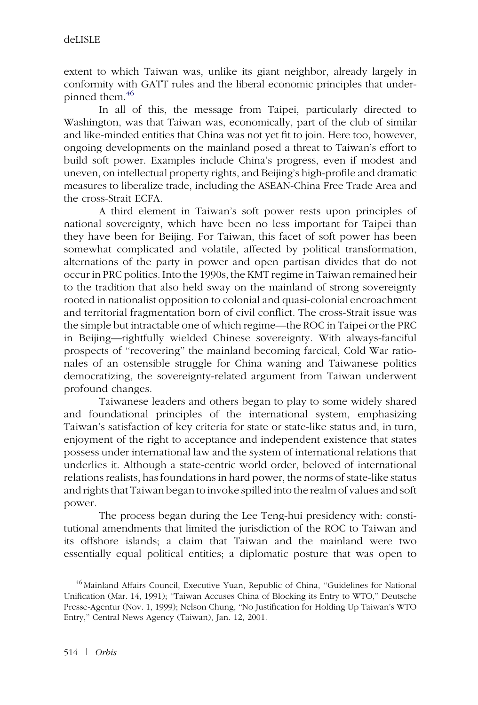extent to which Taiwan was, unlike its giant neighbor, already largely in conformity with GATT rules and the liberal economic principles that underpinned them.<sup>46</sup>

In all of this, the message from Taipei, particularly directed to Washington, was that Taiwan was, economically, part of the club of similar and like-minded entities that China was not yet fit to join. Here too, however, ongoing developments on the mainland posed a threat to Taiwan's effort to build soft power. Examples include China's progress, even if modest and uneven, on intellectual property rights, and Beijing's high-profile and dramatic measures to liberalize trade, including the ASEAN-China Free Trade Area and the cross-Strait ECFA.

A third element in Taiwan's soft power rests upon principles of national sovereignty, which have been no less important for Taipei than they have been for Beijing. For Taiwan, this facet of soft power has been somewhat complicated and volatile, affected by political transformation, alternations of the party in power and open partisan divides that do not occur in PRC politics. Into the 1990s, the KMT regime in Taiwan remained heir to the tradition that also held sway on the mainland of strong sovereignty rooted in nationalist opposition to colonial and quasi-colonial encroachment and territorial fragmentation born of civil conflict. The cross-Strait issue was the simple but intractable one of which regime—the ROC in Taipei or the PRC in Beijing—rightfully wielded Chinese sovereignty. With always-fanciful prospects of ''recovering'' the mainland becoming farcical, Cold War rationales of an ostensible struggle for China waning and Taiwanese politics democratizing, the sovereignty-related argument from Taiwan underwent profound changes.

Taiwanese leaders and others began to play to some widely shared and foundational principles of the international system, emphasizing Taiwan's satisfaction of key criteria for state or state-like status and, in turn, enjoyment of the right to acceptance and independent existence that states possess under international law and the system of international relations that underlies it. Although a state-centric world order, beloved of international relations realists, has foundations in hard power, the norms of state-like status and rights that Taiwan began to invoke spilled into the realm of values and soft power.

The process began during the Lee Teng-hui presidency with: constitutional amendments that limited the jurisdiction of the ROC to Taiwan and its offshore islands; a claim that Taiwan and the mainland were two essentially equal political entities; a diplomatic posture that was open to

<sup>46</sup> Mainland Affairs Council, Executive Yuan, Republic of China, ''Guidelines for National Unification (Mar. 14, 1991); ''Taiwan Accuses China of Blocking its Entry to WTO,'' Deutsche Presse-Agentur (Nov. 1, 1999); Nelson Chung, ''No Justification for Holding Up Taiwan's WTO Entry,'' Central News Agency (Taiwan), Jan. 12, 2001.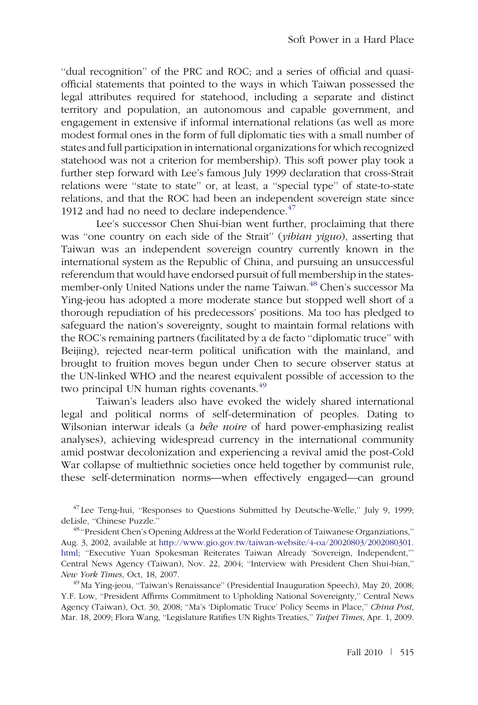''dual recognition'' of the PRC and ROC; and a series of official and quasiofficial statements that pointed to the ways in which Taiwan possessed the legal attributes required for statehood, including a separate and distinct territory and population, an autonomous and capable government, and engagement in extensive if informal international relations (as well as more modest formal ones in the form of full diplomatic ties with a small number of states and full participation in international organizations for which recognized statehood was not a criterion for membership). This soft power play took a further step forward with Lee's famous July 1999 declaration that cross-Strait relations were ''state to state'' or, at least, a ''special type'' of state-to-state relations, and that the ROC had been an independent sovereign state since 1912 and had no need to declare independence. $47$ 

Lee's successor Chen Shui-bian went further, proclaiming that there was "one country on each side of the Strait" (*yibian yiguo*), asserting that Taiwan was an independent sovereign country currently known in the international system as the Republic of China, and pursuing an unsuccessful referendum that would have endorsed pursuit of full membership in the statesmember-only United Nations under the name Taiwan.<sup>48</sup> Chen's successor Ma Ying-jeou has adopted a more moderate stance but stopped well short of a thorough repudiation of his predecessors' positions. Ma too has pledged to safeguard the nation's sovereignty, sought to maintain formal relations with the ROC's remaining partners (facilitated by a de facto ''diplomatic truce'' with Beijing), rejected near-term political unification with the mainland, and brought to fruition moves begun under Chen to secure observer status at the UN-linked WHO and the nearest equivalent possible of accession to the two principal UN human rights covenants.<sup>49</sup>

Taiwan's leaders also have evoked the widely shared international legal and political norms of self-determination of peoples. Dating to Wilsonian interwar ideals (a *bête noire* of hard power-emphasizing realist analyses), achieving widespread currency in the international community amid postwar decolonization and experiencing a revival amid the post-Cold War collapse of multiethnic societies once held together by communist rule, these self-determination norms—when effectively engaged—can ground

<sup>49</sup> Ma Ying-jeou, "Taiwan's Renaissance" (Presidential Inauguration Speech), May 20, 2008; Y.F. Low, ''President Affirms Commitment to Upholding National Sovereignty,'' Central News Agency (Taiwan), Oct. 30, 2008; ''Ma's 'Diplomatic Truce' Policy Seems in Place,'' China Post, Mar. 18, 2009; Flora Wang, ''Legislature Ratifies UN Rights Treaties,'' Taipei Times, Apr. 1, 2009.

<sup>&</sup>lt;sup>47</sup> Lee Teng-hui, "Responses to Questions Submitted by Deutsche-Welle," July 9, 1999; deLisle, "Chinese Puzzle."<br><sup>48</sup> "President Chen's Opening Address at the World Federation of Taiwanese Organziations,"

Aug. 3, 2002, available at [http://www.gio.gov.tw/taiwan-website/4-oa/20020803/2002080301.](http://www.fpri.org/enotes/200806.delisle.taiwanmayingjeoufull.html) [html;](http://www.fpri.org/enotes/200806.delisle.taiwanmayingjeoufull.html) ''Executive Yuan Spokesman Reiterates Taiwan Already 'Sovereign, Independent,''' Central News Agency (Taiwan), Nov. 22, 2004; ''Interview with President Chen Shui-bian,'' New York Times, Oct, 18, 2007.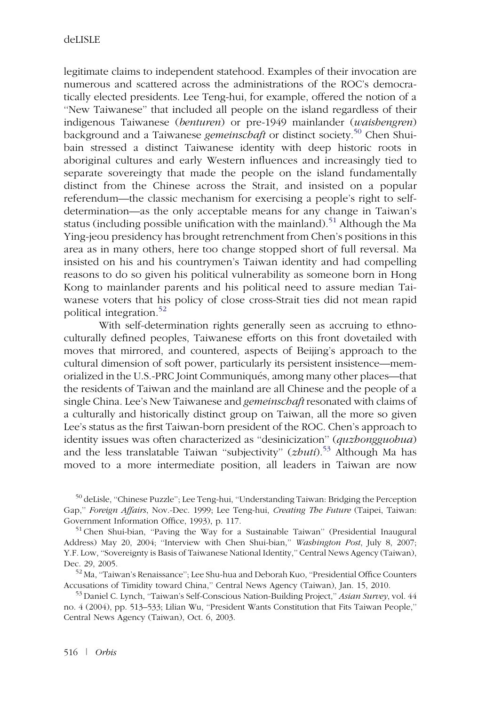legitimate claims to independent statehood. Examples of their invocation are numerous and scattered across the administrations of the ROC's democratically elected presidents. Lee Teng-hui, for example, offered the notion of a ''New Taiwanese'' that included all people on the island regardless of their indigenous Taiwanese (benturen) or pre-1949 mainlander (waishengren) background and a Taiwanese gemeinschaft or distinct society.<sup>50</sup> Chen Shuibain stressed a distinct Taiwanese identity with deep historic roots in aboriginal cultures and early Western influences and increasingly tied to separate sovereingty that made the people on the island fundamentally distinct from the Chinese across the Strait, and insisted on a popular referendum—the classic mechanism for exercising a people's right to selfdetermination—as the only acceptable means for any change in Taiwan's status (including possible unification with the mainland).<sup>51</sup> Although the Ma Ying-jeou presidency has brought retrenchment from Chen's positions in this area as in many others, here too change stopped short of full reversal. Ma insisted on his and his countrymen's Taiwan identity and had compelling reasons to do so given his political vulnerability as someone born in Hong Kong to mainlander parents and his political need to assure median Taiwanese voters that his policy of close cross-Strait ties did not mean rapid political integration.<sup>52</sup>

With self-determination rights generally seen as accruing to ethnoculturally defined peoples, Taiwanese efforts on this front dovetailed with moves that mirrored, and countered, aspects of Beijing's approach to the cultural dimension of soft power, particularly its persistent insistence—memorialized in the U.S.-PRC Joint Communiqués, among many other places—that the residents of Taiwan and the mainland are all Chinese and the people of a single China. Lee's New Taiwanese and gemeinschaft resonated with claims of a culturally and historically distinct group on Taiwan, all the more so given Lee's status as the first Taiwan-born president of the ROC. Chen's approach to identity issues was often characterized as "desinicization" (*quzhongguohua*) and the less translatable Taiwan "subjectivity"  $(zbuti)$ <sup>53</sup> Although Ma has moved to a more intermediate position, all leaders in Taiwan are now

<sup>50</sup> deLisle, "Chinese Puzzle"; Lee Teng-hui, "Understanding Taiwan: Bridging the Perception Gap,'' Foreign Affairs, Nov.-Dec. 1999; Lee Teng-hui, Creating The Future (Taipei, Taiwan: Government Information Office, 1993), p. 117.<br><sup>51</sup> Chen Shui-bian, "Paving the Way for a Sustainable Taiwan" (Presidential Inaugural

Address) May 20, 2004; ''Interview with Chen Shui-bian,'' Washington Post, July 8, 2007; Y.F. Low, ''Sovereignty is Basis of Taiwanese National Identity,'' Central News Agency (Taiwan), Dec. 29, 2005. <sup>52</sup> Ma, ''Taiwan's Renaissance''; Lee Shu-hua and Deborah Kuo, ''Presidential Office Counters

Accusations of Timidity toward China," Central News Agency (Taiwan), Jan. 15, 2010.<br><sup>53</sup> Daniel C. Lynch, ''Taiwan's Self-Conscious Nation-Building Project," *Asian Survey*, vol. 44

no. 4 (2004), pp. 513–533; Lilian Wu, ''President Wants Constitution that Fits Taiwan People,'' Central News Agency (Taiwan), Oct. 6, 2003.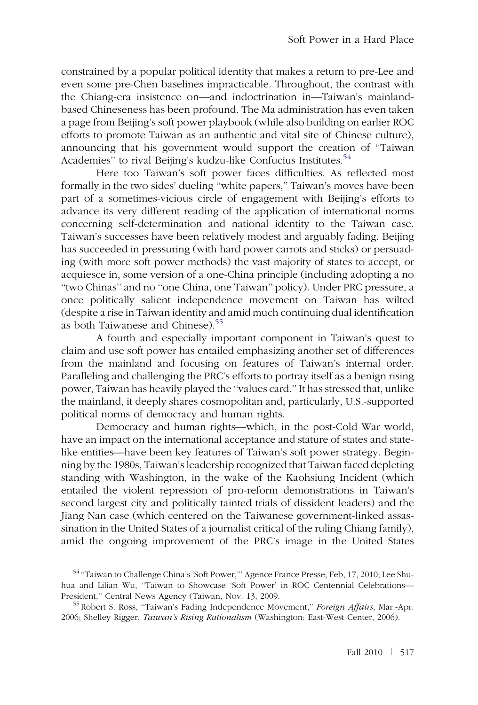constrained by a popular political identity that makes a return to pre-Lee and even some pre-Chen baselines impracticable. Throughout, the contrast with the Chiang-era insistence on—and indoctrination in—Taiwan's mainlandbased Chineseness has been profound. The Ma administration has even taken a page from Beijing's soft power playbook (while also building on earlier ROC efforts to promote Taiwan as an authentic and vital site of Chinese culture), announcing that his government would support the creation of ''Taiwan Academies" to rival Beijing's kudzu-like Confucius Institutes.<sup>54</sup>

Here too Taiwan's soft power faces difficulties. As reflected most formally in the two sides' dueling ''white papers,'' Taiwan's moves have been part of a sometimes-vicious circle of engagement with Beijing's efforts to advance its very different reading of the application of international norms concerning self-determination and national identity to the Taiwan case. Taiwan's successes have been relatively modest and arguably fading. Beijing has succeeded in pressuring (with hard power carrots and sticks) or persuading (with more soft power methods) the vast majority of states to accept, or acquiesce in, some version of a one-China principle (including adopting a no ''two Chinas'' and no ''one China, one Taiwan'' policy). Under PRC pressure, a once politically salient independence movement on Taiwan has wilted (despite a rise in Taiwan identity and amid much continuing dual identification as both Taiwanese and Chinese).<sup>55</sup>

A fourth and especially important component in Taiwan's quest to claim and use soft power has entailed emphasizing another set of differences from the mainland and focusing on features of Taiwan's internal order. Paralleling and challenging the PRC's efforts to portray itself as a benign rising power, Taiwan has heavily played the ''values card.'' It has stressed that, unlike the mainland, it deeply shares cosmopolitan and, particularly, U.S.-supported political norms of democracy and human rights.

Democracy and human rights—which, in the post-Cold War world, have an impact on the international acceptance and stature of states and statelike entities—have been key features of Taiwan's soft power strategy. Beginning by the 1980s, Taiwan's leadership recognized that Taiwan faced depleting standing with Washington, in the wake of the Kaohsiung Incident (which entailed the violent repression of pro-reform demonstrations in Taiwan's second largest city and politically tainted trials of dissident leaders) and the Jiang Nan case (which centered on the Taiwanese government-linked assassination in the United States of a journalist critical of the ruling Chiang family), amid the ongoing improvement of the PRC's image in the United States

2006; Shelley Rigger, Taiwan's Rising Rationalism (Washington: East-West Center, 2006).

<sup>&</sup>lt;sup>54</sup> "Taiwan to Challenge China's 'Soft Power,"' Agence France Presse, Feb, 17, 2010; Lee Shuhua and Lilian Wu, ''Taiwan to Showcase 'Soft Power' in ROC Centennial Celebrations— President," Central News Agency (Taiwan, Nov. 13, 2009.<br><sup>55</sup> Robert S. Ross, "Taiwan's Fading Independence Movement," *Foreign Affairs*, Mar.-Apr.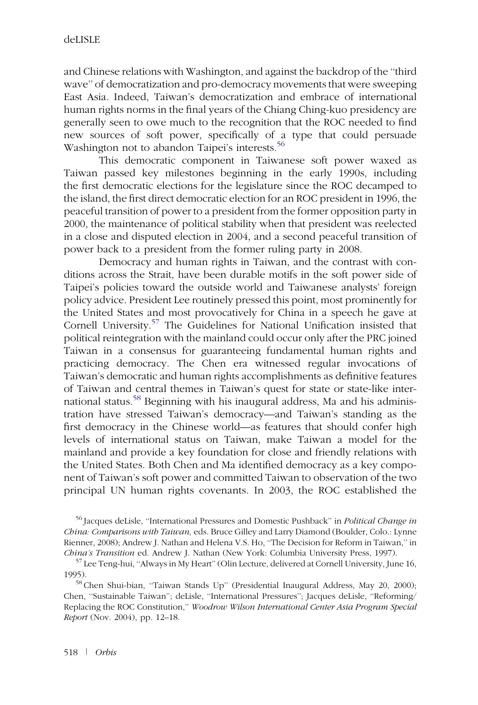and Chinese relations with Washington, and against the backdrop of the ''third wave'' of democratization and pro-democracy movements that were sweeping East Asia. Indeed, Taiwan's democratization and embrace of international human rights norms in the final years of the Chiang Ching-kuo presidency are generally seen to owe much to the recognition that the ROC needed to find new sources of soft power, specifically of a type that could persuade Washington not to abandon Taipei's interests.<sup>56</sup>

This democratic component in Taiwanese soft power waxed as Taiwan passed key milestones beginning in the early 1990s, including the first democratic elections for the legislature since the ROC decamped to the island, the first direct democratic election for an ROC president in 1996, the peaceful transition of power to a president from the former opposition party in 2000, the maintenance of political stability when that president was reelected in a close and disputed election in 2004, and a second peaceful transition of power back to a president from the former ruling party in 2008.

Democracy and human rights in Taiwan, and the contrast with conditions across the Strait, have been durable motifs in the soft power side of Taipei's policies toward the outside world and Taiwanese analysts' foreign policy advice. President Lee routinely pressed this point, most prominently for the United States and most provocatively for China in a speech he gave at Cornell University.57 The Guidelines for National Unification insisted that political reintegration with the mainland could occur only after the PRC joined Taiwan in a consensus for guaranteeing fundamental human rights and practicing democracy. The Chen era witnessed regular invocations of Taiwan's democratic and human rights accomplishments as definitive features of Taiwan and central themes in Taiwan's quest for state or state-like international status.<sup>58</sup> Beginning with his inaugural address, Ma and his administration have stressed Taiwan's democracy—and Taiwan's standing as the first democracy in the Chinese world—as features that should confer high levels of international status on Taiwan, make Taiwan a model for the mainland and provide a key foundation for close and friendly relations with the United States. Both Chen and Ma identified democracy as a key component of Taiwan's soft power and committed Taiwan to observation of the two principal UN human rights covenants. In 2003, the ROC established the

<sup>56</sup> Jacques deLisle, "International Pressures and Domestic Pushback" in *Political Change in* China: Comparisons with Taiwan, eds. Bruce Gilley and Larry Diamond (Boulder, Colo.: Lynne Rienner, 2008); Andrew J. Nathan and Helena V.S. Ho, ''The Decision for Reform in Taiwan,'' in China's Transition ed. Andrew J. Nathan (New York: Columbia University Press, 1997). <sup>57</sup> Lee Teng-hui, ''Always in My Heart'' (Olin Lecture, delivered at Cornell University, June 16,

<sup>1995).</sup> <sup>58</sup> Chen Shui-bian, ''Taiwan Stands Up'' (Presidential Inaugural Address, May 20, 2000);

Chen, ''Sustainable Taiwan''; deLisle, ''International Pressures''; Jacques deLisle, ''Reforming/ Replacing the ROC Constitution,'' Woodrow Wilson International Center Asia Program Special Report (Nov. 2004), pp. 12–18.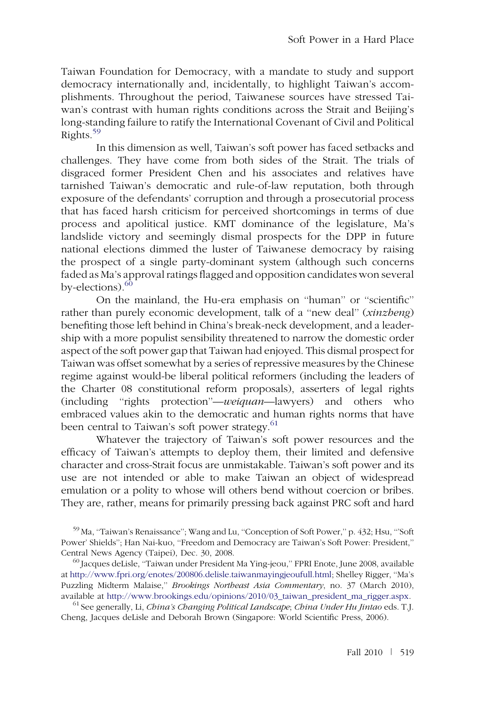Taiwan Foundation for Democracy, with a mandate to study and support democracy internationally and, incidentally, to highlight Taiwan's accomplishments. Throughout the period, Taiwanese sources have stressed Taiwan's contrast with human rights conditions across the Strait and Beijing's long-standing failure to ratify the International Covenant of Civil and Political Rights.<sup>59</sup>

In this dimension as well, Taiwan's soft power has faced setbacks and challenges. They have come from both sides of the Strait. The trials of disgraced former President Chen and his associates and relatives have tarnished Taiwan's democratic and rule-of-law reputation, both through exposure of the defendants' corruption and through a prosecutorial process that has faced harsh criticism for perceived shortcomings in terms of due process and apolitical justice. KMT dominance of the legislature, Ma's landslide victory and seemingly dismal prospects for the DPP in future national elections dimmed the luster of Taiwanese democracy by raising the prospect of a single party-dominant system (although such concerns faded as Ma's approval ratings flagged and opposition candidates won several by-elections). $60$ 

On the mainland, the Hu-era emphasis on ''human'' or ''scientific'' rather than purely economic development, talk of a "new deal" (xinzheng) benefiting those left behind in China's break-neck development, and a leadership with a more populist sensibility threatened to narrow the domestic order aspect of the soft power gap that Taiwan had enjoyed. This dismal prospect for Taiwan was offset somewhat by a series of repressive measures by the Chinese regime against would-be liberal political reformers (including the leaders of the Charter 08 constitutional reform proposals), asserters of legal rights (including ''rights protection''—weiquan—lawyers) and others who embraced values akin to the democratic and human rights norms that have been central to Taiwan's soft power strategy.<sup>61</sup>

Whatever the trajectory of Taiwan's soft power resources and the efficacy of Taiwan's attempts to deploy them, their limited and defensive character and cross-Strait focus are unmistakable. Taiwan's soft power and its use are not intended or able to make Taiwan an object of widespread emulation or a polity to whose will others bend without coercion or bribes. They are, rather, means for primarily pressing back against PRC soft and hard

<sup>59</sup> Ma, "Taiwan's Renaissance"; Wang and Lu, "Conception of Soft Power," p. 432; Hsu, "'Soft Power' Shields''; Han Nai-kuo, ''Freedom and Democracy are Taiwan's Soft Power: President,'' Central News Agency (Taipei), Dec. 30, 2008.

<sup>60</sup> Jacques deLisle, ''Taiwan under President Ma Ying-jeou,'' FPRI Enote, June 2008, available at <http://www.fpri.org/enotes/200806.delisle.taiwanmayingjeoufull.html>; Shelley Rigger, ''Ma's Puzzling Midterm Malaise,'' Brookings Northeast Asia Commentary, no. 37 (March 2010), available at [http://www.brookings.edu/opinions/2010/03\\_taiwan\\_president\\_ma\\_rigger.aspx](http://www.brookings.edu/opinions/2010/03_taiwan_president_ma_rigger.aspx). 61 See generally, Li, China's Changing Political Landscape; China Under Hu Jintao eds. T.J.

Cheng, Jacques deLisle and Deborah Brown (Singapore: World Scientific Press, 2006).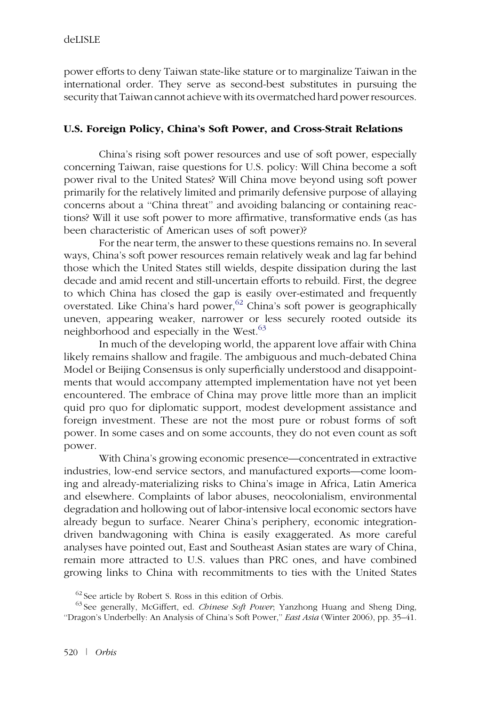power efforts to deny Taiwan state-like stature or to marginalize Taiwan in the international order. They serve as second-best substitutes in pursuing the security that Taiwan cannot achieve with its overmatched hard power resources.

#### U.S. Foreign Policy, China's Soft Power, and Cross-Strait Relations

China's rising soft power resources and use of soft power, especially concerning Taiwan, raise questions for U.S. policy: Will China become a soft power rival to the United States? Will China move beyond using soft power primarily for the relatively limited and primarily defensive purpose of allaying concerns about a ''China threat'' and avoiding balancing or containing reactions? Will it use soft power to more affirmative, transformative ends (as has been characteristic of American uses of soft power)?

For the near term, the answer to these questions remains no. In several ways, China's soft power resources remain relatively weak and lag far behind those which the United States still wields, despite dissipation during the last decade and amid recent and still-uncertain efforts to rebuild. First, the degree to which China has closed the gap is easily over-estimated and frequently overstated. Like China's hard power,<sup>62</sup> China's soft power is geographically uneven, appearing weaker, narrower or less securely rooted outside its neighborhood and especially in the West. $63$ 

In much of the developing world, the apparent love affair with China likely remains shallow and fragile. The ambiguous and much-debated China Model or Beijing Consensus is only superficially understood and disappointments that would accompany attempted implementation have not yet been encountered. The embrace of China may prove little more than an implicit quid pro quo for diplomatic support, modest development assistance and foreign investment. These are not the most pure or robust forms of soft power. In some cases and on some accounts, they do not even count as soft power.

With China's growing economic presence—concentrated in extractive industries, low-end service sectors, and manufactured exports—come looming and already-materializing risks to China's image in Africa, Latin America and elsewhere. Complaints of labor abuses, neocolonialism, environmental degradation and hollowing out of labor-intensive local economic sectors have already begun to surface. Nearer China's periphery, economic integrationdriven bandwagoning with China is easily exaggerated. As more careful analyses have pointed out, East and Southeast Asian states are wary of China, remain more attracted to U.S. values than PRC ones, and have combined growing links to China with recommitments to ties with the United States

 $63$  See generally, McGiffert, ed. Chinese Soft Power; Yanzhong Huang and Sheng Ding, ''Dragon's Underbelly: An Analysis of China's Soft Power,'' East Asia (Winter 2006), pp. 35–41.

<sup>62</sup> See article by Robert S. Ross in this edition of Orbis.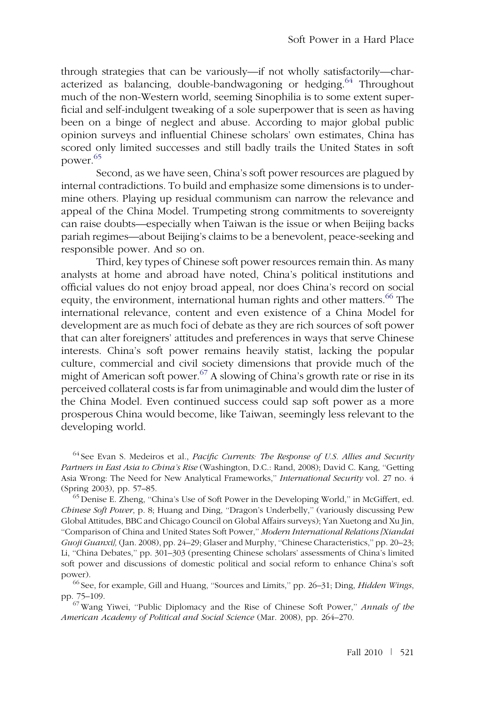through strategies that can be variously—if not wholly satisfactorily—characterized as balancing, double-bandwagoning or hedging.<sup>64</sup> Throughout much of the non-Western world, seeming Sinophilia is to some extent superficial and self-indulgent tweaking of a sole superpower that is seen as having been on a binge of neglect and abuse. According to major global public opinion surveys and influential Chinese scholars' own estimates, China has scored only limited successes and still badly trails the United States in soft power.<sup>65</sup>

Second, as we have seen, China's soft power resources are plagued by internal contradictions. To build and emphasize some dimensions is to undermine others. Playing up residual communism can narrow the relevance and appeal of the China Model. Trumpeting strong commitments to sovereignty can raise doubts—especially when Taiwan is the issue or when Beijing backs pariah regimes—about Beijing's claims to be a benevolent, peace-seeking and responsible power. And so on.

Third, key types of Chinese soft power resources remain thin. As many analysts at home and abroad have noted, China's political institutions and official values do not enjoy broad appeal, nor does China's record on social equity, the environment, international human rights and other matters.<sup>66</sup> The international relevance, content and even existence of a China Model for development are as much foci of debate as they are rich sources of soft power that can alter foreigners' attitudes and preferences in ways that serve Chinese interests. China's soft power remains heavily statist, lacking the popular culture, commercial and civil society dimensions that provide much of the might of American soft power.<sup>67</sup> A slowing of China's growth rate or rise in its perceived collateral costs is far from unimaginable and would dim the luster of the China Model. Even continued success could sap soft power as a more prosperous China would become, like Taiwan, seemingly less relevant to the developing world.

 $64$  See Evan S. Medeiros et al., *Pacific Currents: The Response of U.S. Allies and Security* Partners in East Asia to China's Rise (Washington, D.C.: Rand, 2008); David C. Kang, ''Getting Asia Wrong: The Need for New Analytical Frameworks,'' International Security vol. 27 no. 4 (Spring 2003), pp. 57–85.

<sup>65</sup> Denise E. Zheng, "China's Use of Soft Power in the Developing World," in McGiffert, ed. Chinese Soft Power, p. 8; Huang and Ding, ''Dragon's Underbelly,'' (variously discussing Pew Global Attitudes, BBC and Chicago Council on Global Affairs surveys); Yan Xuetong and Xu Jin, ''Comparison of China and United States Soft Power,'' Modern International Relations [Xiandai Guoji Guanxi], (Jan. 2008), pp. 24–29; Glaser and Murphy, ''Chinese Characteristics,'' pp. 20–23; Li, ''China Debates,'' pp. 301–303 (presenting Chinese scholars' assessments of China's limited soft power and discussions of domestic political and social reform to enhance China's soft power).

<sup>66</sup> See, for example, Gill and Huang, ''Sources and Limits,'' pp. 26–31; Ding, Hidden Wings, pp. 75–109.

<sup>67</sup> Wang Yiwei, "Public Diplomacy and the Rise of Chinese Soft Power," Annals of the American Academy of Political and Social Science (Mar. 2008), pp. 264–270.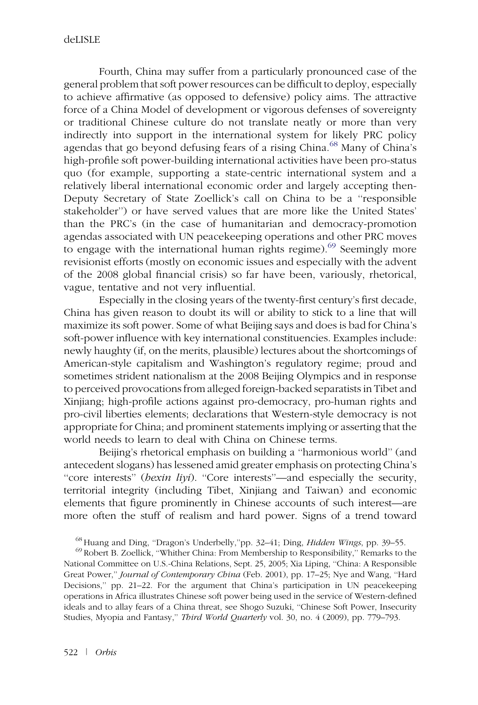Fourth, China may suffer from a particularly pronounced case of the general problem that soft power resources can be difficult to deploy, especially to achieve affirmative (as opposed to defensive) policy aims. The attractive force of a China Model of development or vigorous defenses of sovereignty or traditional Chinese culture do not translate neatly or more than very indirectly into support in the international system for likely PRC policy agendas that go beyond defusing fears of a rising China.<sup>68</sup> Many of China's high-profile soft power-building international activities have been pro-status quo (for example, supporting a state-centric international system and a relatively liberal international economic order and largely accepting then-Deputy Secretary of State Zoellick's call on China to be a ''responsible stakeholder'') or have served values that are more like the United States' than the PRC's (in the case of humanitarian and democracy-promotion agendas associated with UN peacekeeping operations and other PRC moves to engage with the international human rights regime). $69$  Seemingly more revisionist efforts (mostly on economic issues and especially with the advent of the 2008 global financial crisis) so far have been, variously, rhetorical, vague, tentative and not very influential.

Especially in the closing years of the twenty-first century's first decade, China has given reason to doubt its will or ability to stick to a line that will maximize its soft power. Some of what Beijing says and does is bad for China's soft-power influence with key international constituencies. Examples include: newly haughty (if, on the merits, plausible) lectures about the shortcomings of American-style capitalism and Washington's regulatory regime; proud and sometimes strident nationalism at the 2008 Beijing Olympics and in response to perceived provocations from alleged foreign-backed separatists in Tibet and Xinjiang; high-profile actions against pro-democracy, pro-human rights and pro-civil liberties elements; declarations that Western-style democracy is not appropriate for China; and prominent statements implying or asserting that the world needs to learn to deal with China on Chinese terms.

Beijing's rhetorical emphasis on building a ''harmonious world'' (and antecedent slogans) has lessened amid greater emphasis on protecting China's "core interests" (*hexin liyi*). "Core interests"—and especially the security, territorial integrity (including Tibet, Xinjiang and Taiwan) and economic elements that figure prominently in Chinese accounts of such interest—are more often the stuff of realism and hard power. Signs of a trend toward

<sup>68</sup> Huang and Ding, ''Dragon's Underbelly,''pp. 32–41; Ding, Hidden Wings, pp. 39–55.

<sup>69</sup> Robert B. Zoellick, ''Whither China: From Membership to Responsibility,'' Remarks to the National Committee on U.S.-China Relations, Sept. 25, 2005; Xia Liping, ''China: A Responsible Great Power," Journal of Contemporary China (Feb. 2001), pp. 17-25; Nye and Wang, "Hard Decisions,'' pp. 21–22. For the argument that China's participation in UN peacekeeping operations in Africa illustrates Chinese soft power being used in the service of Western-defined ideals and to allay fears of a China threat, see Shogo Suzuki, ''Chinese Soft Power, Insecurity Studies, Myopia and Fantasy,'' Third World Quarterly vol. 30, no. 4 (2009), pp. 779–793.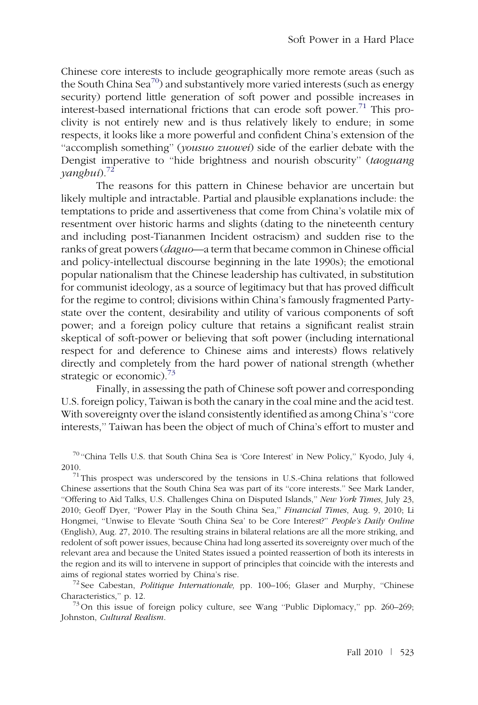Chinese core interests to include geographically more remote areas (such as the South China Sea<sup>70</sup>) and substantively more varied interests (such as energy security) portend little generation of soft power and possible increases in interest-based international frictions that can erode soft power.<sup>71</sup> This proclivity is not entirely new and is thus relatively likely to endure; in some respects, it looks like a more powerful and confident China's extension of the "accomplish something" (yousuo zuowei) side of the earlier debate with the Dengist imperative to "hide brightness and nourish obscurity" (taoguang  $vanghui$ ).<sup>72</sup>

The reasons for this pattern in Chinese behavior are uncertain but likely multiple and intractable. Partial and plausible explanations include: the temptations to pride and assertiveness that come from China's volatile mix of resentment over historic harms and slights (dating to the nineteenth century and including post-Tiananmen Incident ostracism) and sudden rise to the ranks of great powers (daguo—a term that became common in Chinese official and policy-intellectual discourse beginning in the late 1990s); the emotional popular nationalism that the Chinese leadership has cultivated, in substitution for communist ideology, as a source of legitimacy but that has proved difficult for the regime to control; divisions within China's famously fragmented Partystate over the content, desirability and utility of various components of soft power; and a foreign policy culture that retains a significant realist strain skeptical of soft-power or believing that soft power (including international respect for and deference to Chinese aims and interests) flows relatively directly and completely from the hard power of national strength (whether strategic or economic). $73$ 

Finally, in assessing the path of Chinese soft power and corresponding U.S. foreign policy, Taiwan is both the canary in the coal mine and the acid test. With sovereignty over the island consistently identified as among China's ''core interests,'' Taiwan has been the object of much of China's effort to muster and

Chinese assertions that the South China Sea was part of its ''core interests.'' See Mark Lander, ''Offering to Aid Talks, U.S. Challenges China on Disputed Islands,'' New York Times, July 23, 2010; Geoff Dyer, ''Power Play in the South China Sea,'' Financial Times, Aug. 9, 2010; Li Hongmei, "Unwise to Elevate 'South China Sea' to be Core Interest?" People's Daily Online (English), Aug. 27, 2010. The resulting strains in bilateral relations are all the more striking, and redolent of soft power issues, because China had long asserted its sovereignty over much of the relevant area and because the United States issued a pointed reassertion of both its interests in the region and its will to intervene in support of principles that coincide with the interests and aims of regional states worried by China's rise.<br><sup>72</sup> See Cabestan, *Politique Internationale*, pp. 100–106; Glaser and Murphy, "Chinese

Characteristics,'' p. 12. <sup>73</sup> On this issue of foreign policy culture, see Wang ''Public Diplomacy,'' pp. 260–269;

Johnston, Cultural Realism.

<sup>&</sup>lt;sup>70</sup> "China Tells U.S. that South China Sea is 'Core Interest' in New Policy," Kyodo, July 4, 2010. <sup>71</sup> This prospect was underscored by the tensions in U.S.-China relations that followed